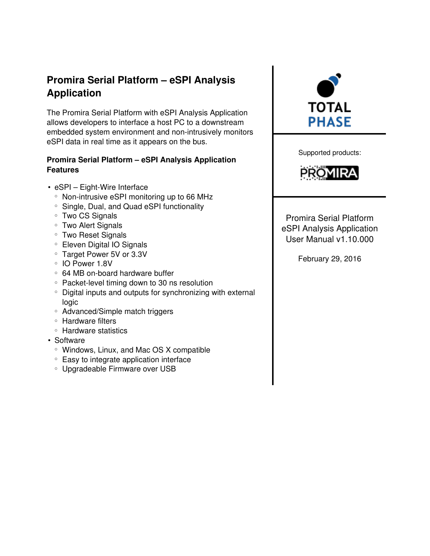# Promira Serial Platform – eSPI Analysis Application

The Promira Serial Platform with eSPI Analysis Application allows developers to interface a host PC to a downstream embedded system environment and non-intrusively monitors eSPI data in real time as it appears on the bus.

### Promira Serial Platform – eSPI Analysis Application Features

- eSPI Eight-Wire Interface
	- Non-intrusive eSPI monitoring up to 66 MHz
	- Single, Dual, and Quad eSPI functionality
	- Two CS Signals
	- Two Alert Signals
	- Two Reset Signals
	- Eleven Digital IO Signals
	- Target Power 5V or 3.3V
	- IO Power 1.8V
	- 64 MB on-board hardware buffer
	- Packet-level timing down to 30 ns resolution
	- Digital inputs and outputs for synchronizing with external logic
	- Advanced/Simple match triggers
	- Hardware filters
	- Hardware statistics
- Software
	- Windows, Linux, and Mac OS X compatible
	- Easy to integrate application interface
	- Upgradeable Firmware over USB



Supported products:



Promira Serial Platform eSPI Analysis Application User Manual v1.10.000

February 29, 2016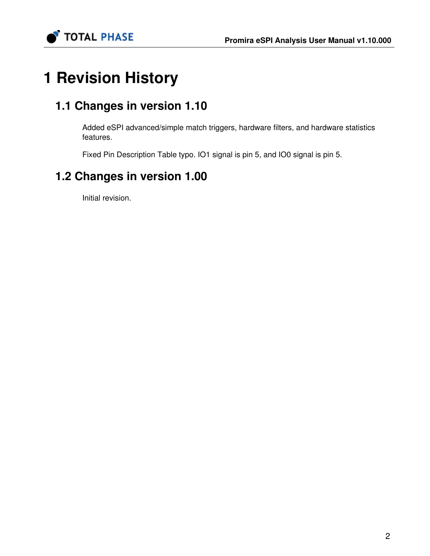

# 1 Revision History

# 1.1 Changes in version 1.10

Added eSPI advanced/simple match triggers, hardware filters, and hardware statistics features.

Fixed Pin Description Table typo. IO1 signal is pin 5, and IO0 signal is pin 5.

# 1.2 Changes in version 1.00

Initial revision.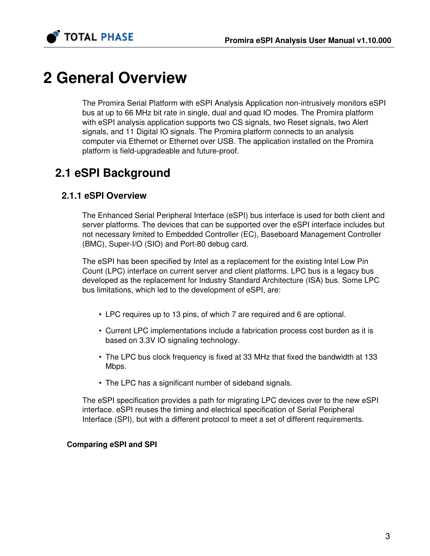

# 2 General Overview

The Promira Serial Platform with eSPI Analysis Application non-intrusively monitors eSPI bus at up to 66 MHz bit rate in single, dual and quad IO modes. The Promira platform with eSPI analysis application supports two CS signals, two Reset signals, two Alert signals, and 11 Digital IO signals. The Promira platform connects to an analysis computer via Ethernet or Ethernet over USB. The application installed on the Promira platform is field-upgradeable and future-proof.

# 2.1 eSPI Background

### 2.1.1 eSPI Overview

The Enhanced Serial Peripheral Interface (eSPI) bus interface is used for both client and server platforms. The devices that can be supported over the eSPI interface includes but not necessary limited to Embedded Controller (EC), Baseboard Management Controller (BMC), Super-I/O (SIO) and Port-80 debug card.

The eSPI has been specified by Intel as a replacement for the existing Intel Low Pin Count (LPC) interface on current server and client platforms. LPC bus is a legacy bus developed as the replacement for Industry Standard Architecture (ISA) bus. Some LPC bus limitations, which led to the development of eSPI, are:

- LPC requires up to 13 pins, of which 7 are required and 6 are optional.
- Current LPC implementations include a fabrication process cost burden as it is based on 3.3V IO signaling technology.
- The LPC bus clock frequency is fixed at 33 MHz that fixed the bandwidth at 133 Mbps.
- The LPC has a significant number of sideband signals.

The eSPI specification provides a path for migrating LPC devices over to the new eSPI interface. eSPI reuses the timing and electrical specification of Serial Peripheral Interface (SPI), but with a different protocol to meet a set of different requirements.

#### Comparing eSPI and SPI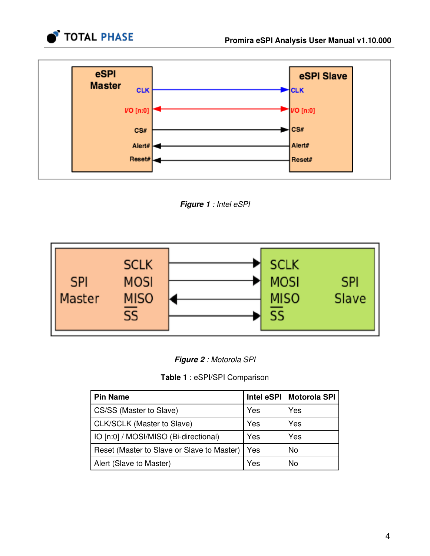



Figure 1 : Intel eSPI





### Table 1 : eSPI/SPI Comparison

| <b>Pin Name</b>                            | Intel eSPI | <b>Motorola SPI</b> |
|--------------------------------------------|------------|---------------------|
| CS/SS (Master to Slave)                    | Yes        | Yes                 |
| CLK/SCLK (Master to Slave)                 | Yes        | Yes                 |
| IO [n:0] / MOSI/MISO (Bi-directional)      | Yes        | Yes                 |
| Reset (Master to Slave or Slave to Master) | Yes        | <b>No</b>           |
| Alert (Slave to Master)                    | Yes        | No                  |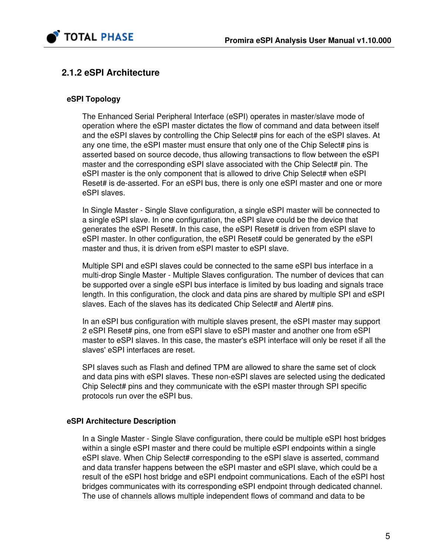

## 2.1.2 eSPI Architecture

#### eSPI Topology

The Enhanced Serial Peripheral Interface (eSPI) operates in master/slave mode of operation where the eSPI master dictates the flow of command and data between itself and the eSPI slaves by controlling the Chip Select# pins for each of the eSPI slaves. At any one time, the eSPI master must ensure that only one of the Chip Select# pins is asserted based on source decode, thus allowing transactions to flow between the eSPI master and the corresponding eSPI slave associated with the Chip Select# pin. The eSPI master is the only component that is allowed to drive Chip Select# when eSPI Reset# is de-asserted. For an eSPI bus, there is only one eSPI master and one or more eSPI slaves.

In Single Master - Single Slave configuration, a single eSPI master will be connected to a single eSPI slave. In one configuration, the eSPI slave could be the device that generates the eSPI Reset#. In this case, the eSPI Reset# is driven from eSPI slave to eSPI master. In other configuration, the eSPI Reset# could be generated by the eSPI master and thus, it is driven from eSPI master to eSPI slave.

Multiple SPI and eSPI slaves could be connected to the same eSPI bus interface in a multi-drop Single Master - Multiple Slaves configuration. The number of devices that can be supported over a single eSPI bus interface is limited by bus loading and signals trace length. In this configuration, the clock and data pins are shared by multiple SPI and eSPI slaves. Each of the slaves has its dedicated Chip Select# and Alert# pins.

In an eSPI bus configuration with multiple slaves present, the eSPI master may support 2 eSPI Reset# pins, one from eSPI slave to eSPI master and another one from eSPI master to eSPI slaves. In this case, the master's eSPI interface will only be reset if all the slaves' eSPI interfaces are reset.

SPI slaves such as Flash and defined TPM are allowed to share the same set of clock and data pins with eSPI slaves. These non-eSPI slaves are selected using the dedicated Chip Select# pins and they communicate with the eSPI master through SPI specific protocols run over the eSPI bus.

#### eSPI Architecture Description

In a Single Master - Single Slave configuration, there could be multiple eSPI host bridges within a single eSPI master and there could be multiple eSPI endpoints within a single eSPI slave. When Chip Select# corresponding to the eSPI slave is asserted, command and data transfer happens between the eSPI master and eSPI slave, which could be a result of the eSPI host bridge and eSPI endpoint communications. Each of the eSPI host bridges communicates with its corresponding eSPI endpoint through dedicated channel. The use of channels allows multiple independent flows of command and data to be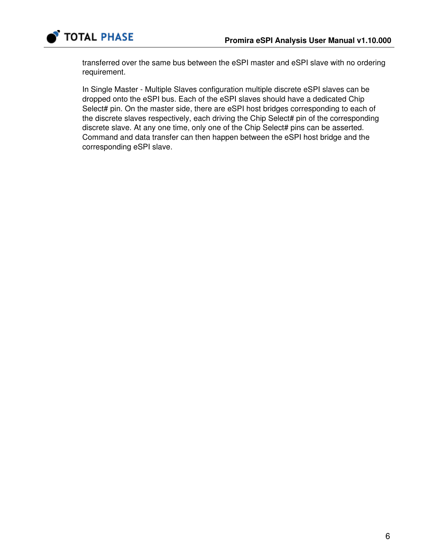

transferred over the same bus between the eSPI master and eSPI slave with no ordering requirement.

In Single Master - Multiple Slaves configuration multiple discrete eSPI slaves can be dropped onto the eSPI bus. Each of the eSPI slaves should have a dedicated Chip Select# pin. On the master side, there are eSPI host bridges corresponding to each of the discrete slaves respectively, each driving the Chip Select# pin of the corresponding discrete slave. At any one time, only one of the Chip Select# pins can be asserted. Command and data transfer can then happen between the eSPI host bridge and the corresponding eSPI slave.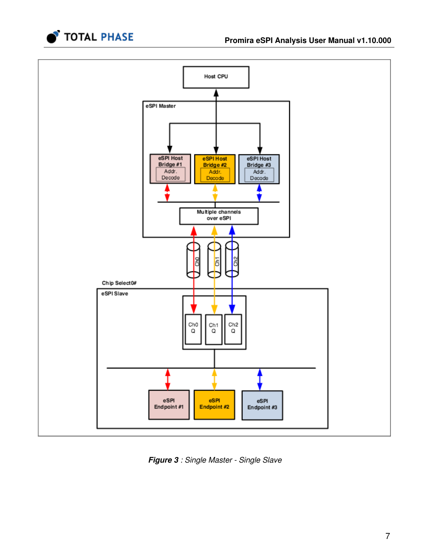



Figure 3 : Single Master - Single Slave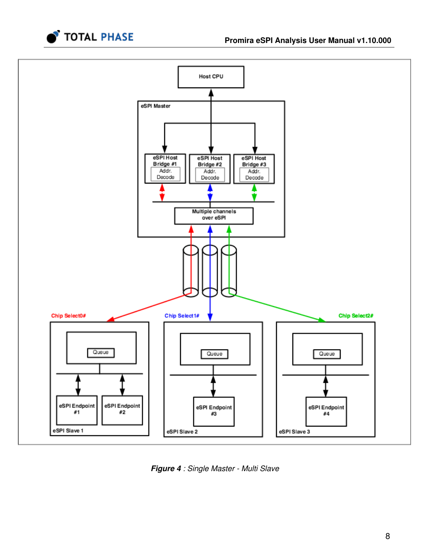



Figure 4 : Single Master - Multi Slave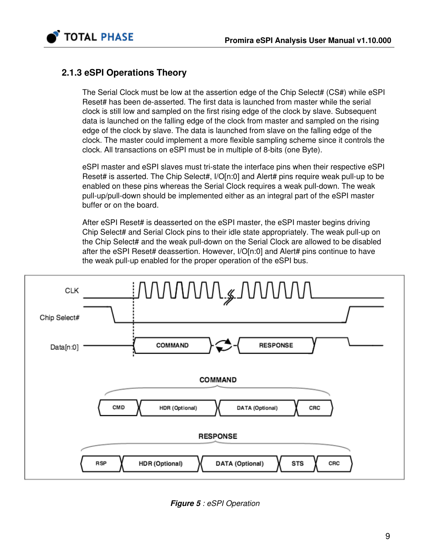



## 2.1.3 eSPI Operations Theory

The Serial Clock must be low at the assertion edge of the Chip Select# (CS#) while eSPI Reset# has been de-asserted. The first data is launched from master while the serial clock is still low and sampled on the first rising edge of the clock by slave. Subsequent data is launched on the falling edge of the clock from master and sampled on the rising edge of the clock by slave. The data is launched from slave on the falling edge of the clock. The master could implement a more flexible sampling scheme since it controls the clock. All transactions on eSPI must be in multiple of 8-bits (one Byte).

eSPI master and eSPI slaves must tri-state the interface pins when their respective eSPI Reset# is asserted. The Chip Select#,  $I/O[n:0]$  and Alert# pins require weak pull-up to be enabled on these pins whereas the Serial Clock requires a weak pull-down. The weak pull-up/pull-down should be implemented either as an integral part of the eSPI master buffer or on the board.

After eSPI Reset# is deasserted on the eSPI master, the eSPI master begins driving Chip Select# and Serial Clock pins to their idle state appropriately. The weak pull-up on the Chip Select# and the weak pull-down on the Serial Clock are allowed to be disabled after the eSPI Reset# deassertion. However, I/O[n:0] and Alert# pins continue to have the weak pull-up enabled for the proper operation of the eSPI bus.



Figure 5 : eSPI Operation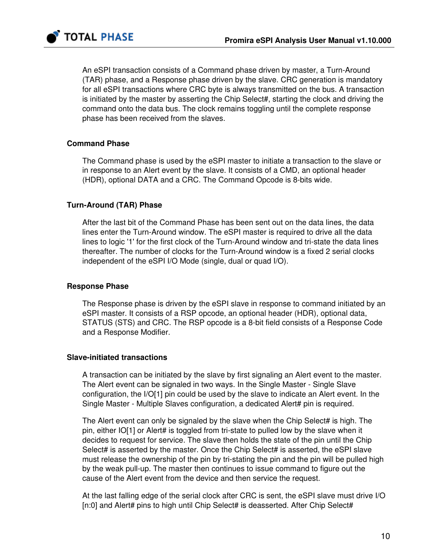

An eSPI transaction consists of a Command phase driven by master, a Turn-Around (TAR) phase, and a Response phase driven by the slave. CRC generation is mandatory for all eSPI transactions where CRC byte is always transmitted on the bus. A transaction is initiated by the master by asserting the Chip Select#, starting the clock and driving the command onto the data bus. The clock remains toggling until the complete response phase has been received from the slaves.

#### Command Phase

The Command phase is used by the eSPI master to initiate a transaction to the slave or in response to an Alert event by the slave. It consists of a CMD, an optional header (HDR), optional DATA and a CRC. The Command Opcode is 8-bits wide.

#### Turn-Around (TAR) Phase

After the last bit of the Command Phase has been sent out on the data lines, the data lines enter the Turn-Around window. The eSPI master is required to drive all the data lines to logic '1' for the first clock of the Turn-Around window and tri-state the data lines thereafter. The number of clocks for the Turn-Around window is a fixed 2 serial clocks independent of the eSPI I/O Mode (single, dual or quad I/O).

#### Response Phase

The Response phase is driven by the eSPI slave in response to command initiated by an eSPI master. It consists of a RSP opcode, an optional header (HDR), optional data, STATUS (STS) and CRC. The RSP opcode is a 8-bit field consists of a Response Code and a Response Modifier.

#### Slave-initiated transactions

A transaction can be initiated by the slave by first signaling an Alert event to the master. The Alert event can be signaled in two ways. In the Single Master - Single Slave configuration, the I/O[1] pin could be used by the slave to indicate an Alert event. In the Single Master - Multiple Slaves configuration, a dedicated Alert# pin is required.

The Alert event can only be signaled by the slave when the Chip Select# is high. The pin, either IO[1] or Alert# is toggled from tri-state to pulled low by the slave when it decides to request for service. The slave then holds the state of the pin until the Chip Select# is asserted by the master. Once the Chip Select# is asserted, the eSPI slave must release the ownership of the pin by tri-stating the pin and the pin will be pulled high by the weak pull-up. The master then continues to issue command to figure out the cause of the Alert event from the device and then service the request.

At the last falling edge of the serial clock after CRC is sent, the eSPI slave must drive I/O [n:0] and Alert# pins to high until Chip Select# is deasserted. After Chip Select#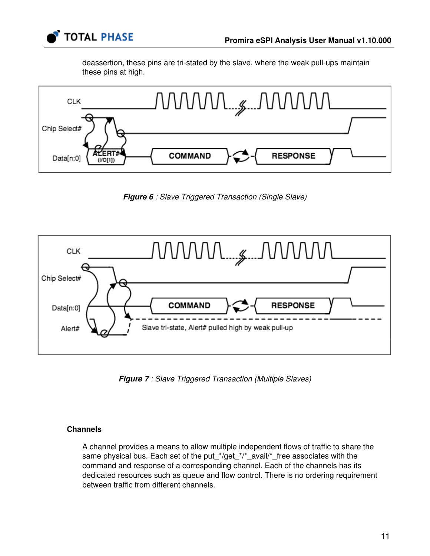

deassertion, these pins are tri-stated by the slave, where the weak pull-ups maintain these pins at high.



**Figure 6** : Slave Triggered Transaction (Single Slave)



**Figure 7** : Slave Triggered Transaction (Multiple Slaves)

#### **Channels**

A channel provides a means to allow multiple independent flows of traffic to share the same physical bus. Each set of the put\_\*/get\_\*/\*\_avail/\*\_free associates with the command and response of a corresponding channel. Each of the channels has its dedicated resources such as queue and flow control. There is no ordering requirement between traffic from different channels.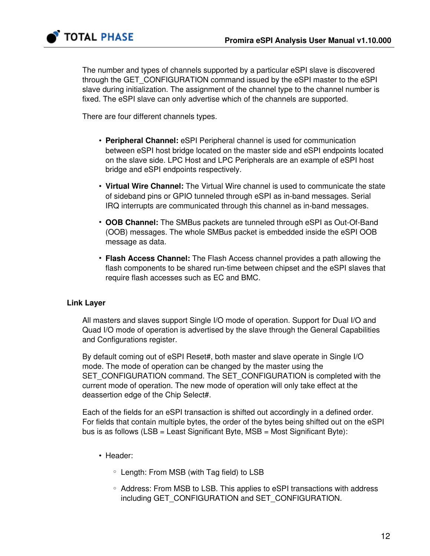

The number and types of channels supported by a particular eSPI slave is discovered through the GET\_CONFIGURATION command issued by the eSPI master to the eSPI slave during initialization. The assignment of the channel type to the channel number is fixed. The eSPI slave can only advertise which of the channels are supported.

There are four different channels types.

- Peripheral Channel: eSPI Peripheral channel is used for communication between eSPI host bridge located on the master side and eSPI endpoints located on the slave side. LPC Host and LPC Peripherals are an example of eSPI host bridge and eSPI endpoints respectively.
- Virtual Wire Channel: The Virtual Wire channel is used to communicate the state of sideband pins or GPIO tunneled through eSPI as in-band messages. Serial IRQ interrupts are communicated through this channel as in-band messages.
- OOB Channel: The SMBus packets are tunneled through eSPI as Out-Of-Band (OOB) messages. The whole SMBus packet is embedded inside the eSPI OOB message as data.
- Flash Access Channel: The Flash Access channel provides a path allowing the flash components to be shared run-time between chipset and the eSPI slaves that require flash accesses such as EC and BMC.

#### Link Layer

All masters and slaves support Single I/O mode of operation. Support for Dual I/O and Quad I/O mode of operation is advertised by the slave through the General Capabilities and Configurations register.

By default coming out of eSPI Reset#, both master and slave operate in Single I/O mode. The mode of operation can be changed by the master using the SET\_CONFIGURATION command. The SET\_CONFIGURATION is completed with the current mode of operation. The new mode of operation will only take effect at the deassertion edge of the Chip Select#.

Each of the fields for an eSPI transaction is shifted out accordingly in a defined order. For fields that contain multiple bytes, the order of the bytes being shifted out on the eSPI bus is as follows  $(LSB = Least Significant Byte, MSB = Most Significant Byte):$ 

- Header:
	- Length: From MSB (with Tag field) to LSB
	- Address: From MSB to LSB. This applies to eSPI transactions with address including GET\_CONFIGURATION and SET\_CONFIGURATION.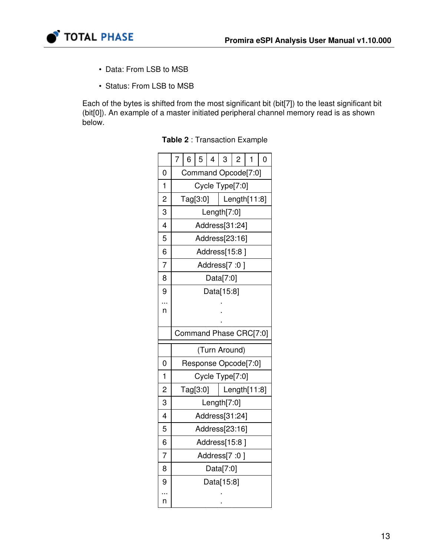

- Data: From LSB to MSB
- Status: From LSB to MSB

Each of the bytes is shifted from the most significant bit (bit[7]) to the least significant bit (bit[0]). An example of a master initiated peripheral channel memory read is as shown below.

|                         | $\overline{7}$         | 6          | 5 | $\overline{4}$ | 3               | $\overline{c}$ | 1                   | $\overline{0}$ |
|-------------------------|------------------------|------------|---|----------------|-----------------|----------------|---------------------|----------------|
| 0                       |                        |            |   |                |                 |                | Command Opcode[7:0] |                |
| $\mathbf 1$             |                        |            |   |                | Cycle Type[7:0] |                |                     |                |
| $\overline{c}$          |                        | Tag[3:0]   |   |                |                 |                | Length $[11:8]$     |                |
| 3                       |                        |            |   |                | Length $[7:0]$  |                |                     |                |
| 4                       |                        |            |   |                | Address[31:24]  |                |                     |                |
| 5                       |                        |            |   |                | Address[23:16]  |                |                     |                |
| 6                       |                        |            |   |                | Address[15:8]   |                |                     |                |
| 7                       |                        |            |   |                | Address[7 :0]   |                |                     |                |
| 8                       |                        |            |   |                | Data[7:0]       |                |                     |                |
| 9                       |                        |            |   |                | Data[15:8]      |                |                     |                |
| n                       |                        |            |   |                |                 |                |                     |                |
|                         |                        |            |   |                |                 |                |                     |                |
|                         | Command Phase CRC[7:0] |            |   |                |                 |                |                     |                |
|                         | (Turn Around)          |            |   |                |                 |                |                     |                |
| 0                       | Response Opcode[7:0]   |            |   |                |                 |                |                     |                |
| $\mathbf{1}$            |                        |            |   |                | Cycle Type[7:0] |                |                     |                |
| $\overline{\mathbf{c}}$ |                        | Tag[3:0]   |   |                |                 |                | Length[11:8]        |                |
| 3                       |                        |            |   |                | Length[7:0]     |                |                     |                |
| 4                       | Address[31:24]         |            |   |                |                 |                |                     |                |
| 5                       | Address[23:16]         |            |   |                |                 |                |                     |                |
| 6                       | Address[15:8]          |            |   |                |                 |                |                     |                |
| $\overline{7}$          |                        |            |   |                | Address[7 :0]   |                |                     |                |
| 8                       |                        |            |   |                | Data[7:0]       |                |                     |                |
| 9                       |                        | Data[15:8] |   |                |                 |                |                     |                |
| n                       |                        |            |   |                |                 |                |                     |                |

Table 2 : Transaction Example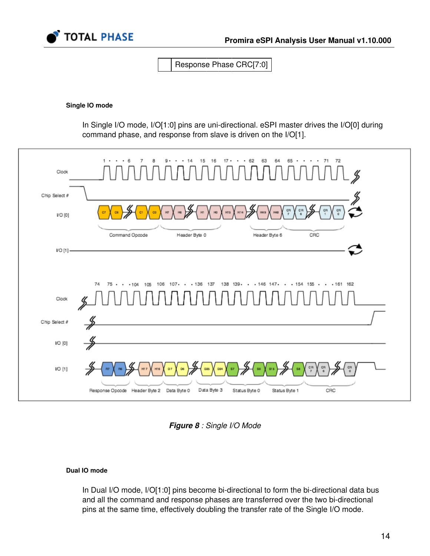

Response Phase CRC[7:0]

#### Single IO mode

In Single I/O mode, I/O[1:0] pins are uni-directional. eSPI master drives the I/O[0] during command phase, and response from slave is driven on the I/O[1].



Figure 8 : Single I/O Mode

#### Dual IO mode

In Dual I/O mode, I/O[1:0] pins become bi-directional to form the bi-directional data bus and all the command and response phases are transferred over the two bi-directional pins at the same time, effectively doubling the transfer rate of the Single I/O mode.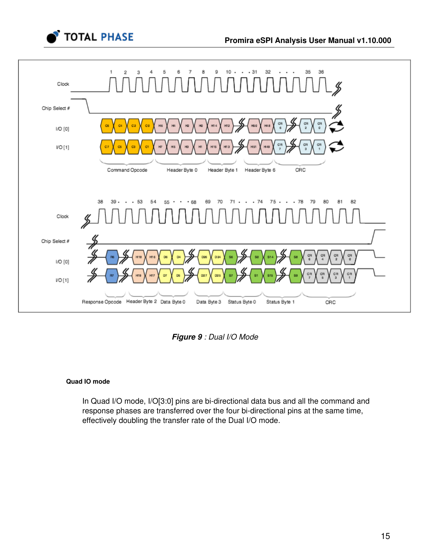



Figure 9 : Dual I/O Mode

#### Quad IO mode

In Quad I/O mode, I/O[3:0] pins are bi-directional data bus and all the command and response phases are transferred over the four bi-directional pins at the same time, effectively doubling the transfer rate of the Dual I/O mode.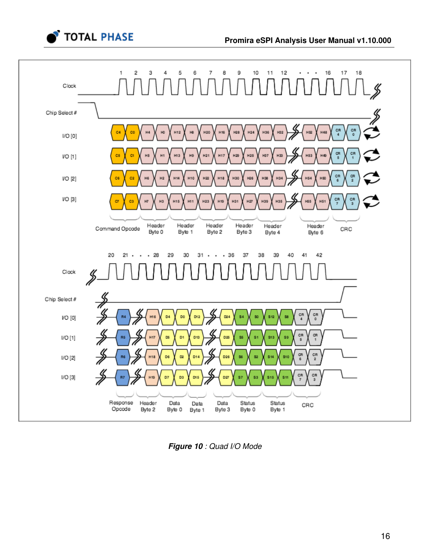



Figure 10 : Quad I/O Mode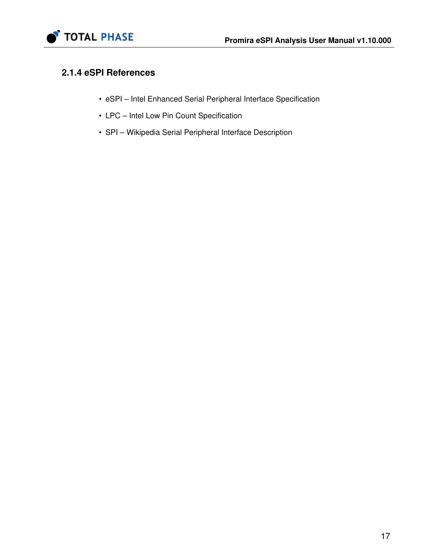

## 2.1.4 eSPI References

- • [eSPI Intel Enhanced Serial Peripheral Interface Specification](https://downloadmirror.intel.com/22112/eng/327432-003_eSPI%20Specification%20rev0%2075%20_base%20specification_CB.pdf)
- • [LPC Intel Low Pin Count Specification](http://www.intel.com/design/chipsets/industry/25128901.pdf)
- • [SPI Wikipedia Serial Peripheral Interface Description](https://en.wikipedia.org/wiki/Serial_Peripheral_Interface_Bus)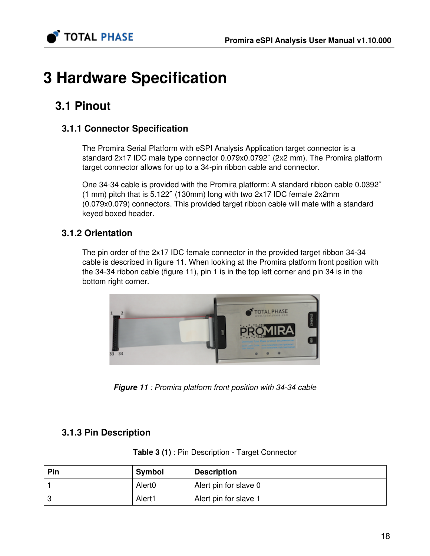

# 3 Hardware Specification

# 3.1 Pinout

## 3.1.1 Connector Specification

The Promira Serial Platform with eSPI Analysis Application target connector is a standard 2x17 IDC male type connector 0.079x0.0792″ (2x2 mm). The Promira platform target connector allows for up to a 34-pin ribbon cable and connector.

One 34-34 cable is provided with the Promira platform: A standard ribbon cable 0.0392″ (1 mm) pitch that is 5.122″ (130mm) long with two 2x17 IDC female 2x2mm (0.079x0.079) connectors. This provided target ribbon cable will mate with a standard keyed boxed header.

## 3.1.2 Orientation

The pin order of the 2x17 IDC female connector in the provided target ribbon 34-34 cable is described in figure 11. When looking at the Promira platform front position with the 34-34 ribbon cable (figure 11), pin 1 is in the top left corner and pin 34 is in the bottom right corner.



**Figure 11** : Promira platform front position with 34-34 cable

## 3.1.3 Pin Description

| Pin | Symbol             | <b>Description</b>    |
|-----|--------------------|-----------------------|
|     | Alert <sub>0</sub> | Alert pin for slave 0 |
|     | Alert1             | Alert pin for slave 1 |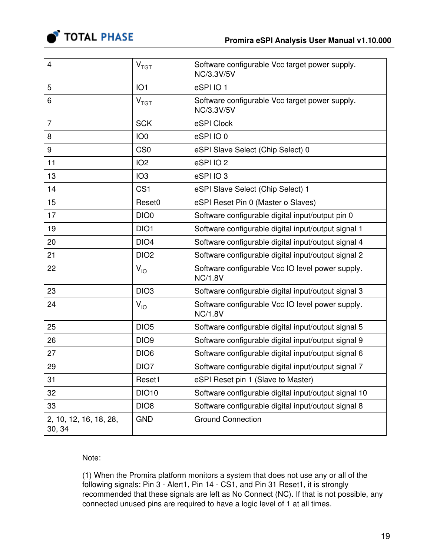

| $\overline{4}$                   | $\mathsf{V}_{\mathsf{TGT}}$ | Software configurable Vcc target power supply.<br>NC/3.3V/5V       |
|----------------------------------|-----------------------------|--------------------------------------------------------------------|
| 5                                | IO <sub>1</sub>             | eSPIIO1                                                            |
| 6                                | V <sub>TGT</sub>            | Software configurable Vcc target power supply.<br>NC/3.3V/5V       |
| $\overline{7}$                   | <b>SCK</b>                  | eSPI Clock                                                         |
| 8                                | IO <sub>0</sub>             | eSPIIO0                                                            |
| 9                                | CS <sub>0</sub>             | eSPI Slave Select (Chip Select) 0                                  |
| 11                               | IO <sub>2</sub>             | eSPIIO <sub>2</sub>                                                |
| 13                               | IO <sub>3</sub>             | eSPIIO3                                                            |
| 14                               | CS <sub>1</sub>             | eSPI Slave Select (Chip Select) 1                                  |
| 15                               | Reset0                      | eSPI Reset Pin 0 (Master o Slaves)                                 |
| 17                               | DIO <sub>0</sub>            | Software configurable digital input/output pin 0                   |
| 19                               | DIO1                        | Software configurable digital input/output signal 1                |
| 20                               | DIO <sub>4</sub>            | Software configurable digital input/output signal 4                |
| 21                               | DIO <sub>2</sub>            | Software configurable digital input/output signal 2                |
| 22                               | $V_{IO}$                    | Software configurable Vcc IO level power supply.<br><b>NC/1.8V</b> |
| 23                               | DIO <sub>3</sub>            | Software configurable digital input/output signal 3                |
| 24                               | $V_{IO}$                    | Software configurable Vcc IO level power supply.<br><b>NC/1.8V</b> |
| 25                               | DIO <sub>5</sub>            | Software configurable digital input/output signal 5                |
| 26                               | DIO <sub>9</sub>            | Software configurable digital input/output signal 9                |
| 27                               | DIO <sub>6</sub>            | Software configurable digital input/output signal 6                |
| 29                               | DIO7                        | Software configurable digital input/output signal 7                |
| 31                               | Reset1                      | eSPI Reset pin 1 (Slave to Master)                                 |
| 32                               | <b>DIO10</b>                | Software configurable digital input/output signal 10               |
| 33                               | DIO <sub>8</sub>            | Software configurable digital input/output signal 8                |
| 2, 10, 12, 16, 18, 28,<br>30, 34 | <b>GND</b>                  | <b>Ground Connection</b>                                           |

Note:

(1) When the Promira platform monitors a system that does not use any or all of the following signals: Pin 3 - Alert1, Pin 14 - CS1, and Pin 31 Reset1, it is strongly recommended that these signals are left as No Connect (NC). If that is not possible, any connected unused pins are required to have a logic level of 1 at all times.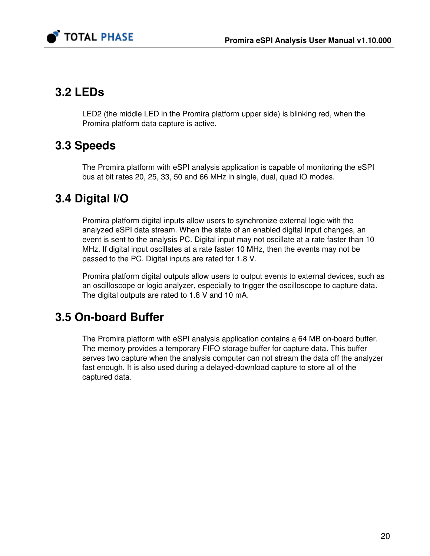

# 3.2 LEDs

LED2 (the middle LED in the Promira platform upper side) is blinking red, when the Promira platform data capture is active.

# 3.3 Speeds

The Promira platform with eSPI analysis application is capable of monitoring the eSPI bus at bit rates 20, 25, 33, 50 and 66 MHz in single, dual, quad IO modes.

# 3.4 Digital I/O

Promira platform digital inputs allow users to synchronize external logic with the analyzed eSPI data stream. When the state of an enabled digital input changes, an event is sent to the analysis PC. Digital input may not oscillate at a rate faster than 10 MHz. If digital input oscillates at a rate faster 10 MHz, then the events may not be passed to the PC. Digital inputs are rated for 1.8 V.

Promira platform digital outputs allow users to output events to external devices, such as an oscilloscope or logic analyzer, especially to trigger the oscilloscope to capture data. The digital outputs are rated to 1.8 V and 10 mA.

# 3.5 On-board Buffer

The Promira platform with eSPI analysis application contains a 64 MB on-board buffer. The memory provides a temporary FIFO storage buffer for capture data. This buffer serves two capture when the analysis computer can not stream the data off the analyzer fast enough. It is also used during a delayed-download capture to store all of the captured data.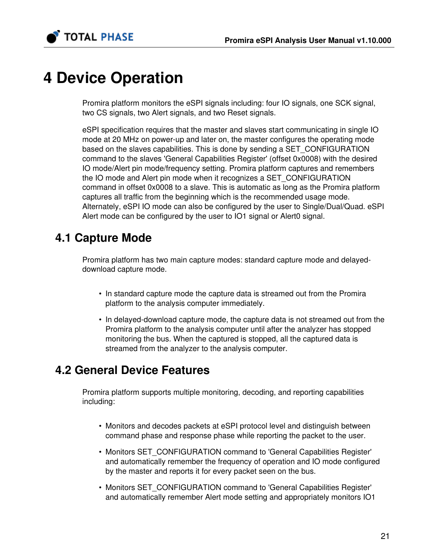

# 4 Device Operation

Promira platform monitors the eSPI signals including: four IO signals, one SCK signal, two CS signals, two Alert signals, and two Reset signals.

eSPI specification requires that the master and slaves start communicating in single IO mode at 20 MHz on power-up and later on, the master configures the operating mode based on the slaves capabilities. This is done by sending a SET\_CONFIGURATION command to the slaves 'General Capabilities Register' (offset 0x0008) with the desired IO mode/Alert pin mode/frequency setting. Promira platform captures and remembers the IO mode and Alert pin mode when it recognizes a SET\_CONFIGURATION command in offset 0x0008 to a slave. This is automatic as long as the Promira platform captures all traffic from the beginning which is the recommended usage mode. Alternately, eSPI IO mode can also be configured by the user to Single/Dual/Quad. eSPI Alert mode can be configured by the user to IO1 signal or Alert0 signal.

# 4.1 Capture Mode

Promira platform has two main capture modes: standard capture mode and delayeddownload capture mode.

- In standard capture mode the capture data is streamed out from the Promira platform to the analysis computer immediately.
- In delayed-download capture mode, the capture data is not streamed out from the Promira platform to the analysis computer until after the analyzer has stopped monitoring the bus. When the captured is stopped, all the captured data is streamed from the analyzer to the analysis computer.

# 4.2 General Device Features

Promira platform supports multiple monitoring, decoding, and reporting capabilities including:

- Monitors and decodes packets at eSPI protocol level and distinguish between command phase and response phase while reporting the packet to the user.
- Monitors SET CONFIGURATION command to 'General Capabilities Register' and automatically remember the frequency of operation and IO mode configured by the master and reports it for every packet seen on the bus.
- Monitors SET\_CONFIGURATION command to 'General Capabilities Register' and automatically remember Alert mode setting and appropriately monitors IO1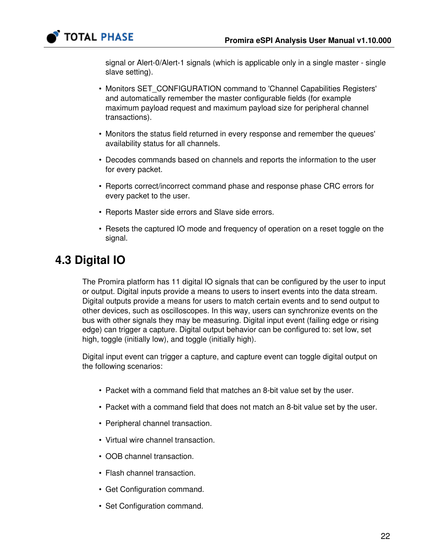

signal or Alert-0/Alert-1 signals (which is applicable only in a single master - single slave setting).

- Monitors SET\_CONFIGURATION command to 'Channel Capabilities Registers' and automatically remember the master configurable fields (for example maximum payload request and maximum payload size for peripheral channel transactions).
- Monitors the status field returned in every response and remember the queues' availability status for all channels.
- Decodes commands based on channels and reports the information to the user for every packet.
- Reports correct/incorrect command phase and response phase CRC errors for every packet to the user.
- Reports Master side errors and Slave side errors.
- Resets the captured IO mode and frequency of operation on a reset toggle on the signal.

# 4.3 Digital IO

The Promira platform has 11 digital IO signals that can be configured by the user to input or output. Digital inputs provide a means to users to insert events into the data stream. Digital outputs provide a means for users to match certain events and to send output to other devices, such as oscilloscopes. In this way, users can synchronize events on the bus with other signals they may be measuring. Digital input event (failing edge or rising edge) can trigger a capture. Digital output behavior can be configured to: set low, set high, toggle (initially low), and toggle (initially high).

Digital input event can trigger a capture, and capture event can toggle digital output on the following scenarios:

- Packet with a command field that matches an 8-bit value set by the user.
- Packet with a command field that does not match an 8-bit value set by the user.
- Peripheral channel transaction.
- Virtual wire channel transaction.
- OOB channel transaction.
- Flash channel transaction.
- Get Configuration command.
- Set Configuration command.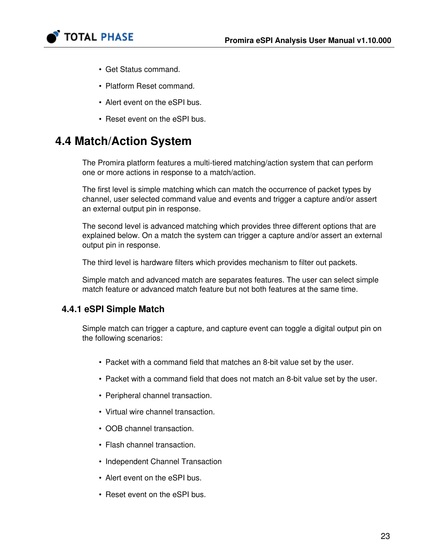

- Get Status command.
- Platform Reset command.
- Alert event on the eSPI bus.
- Reset event on the eSPI bus.

# 4.4 Match/Action System

The Promira platform features a multi-tiered matching/action system that can perform one or more actions in response to a match/action.

The first level is simple matching which can match the occurrence of packet types by channel, user selected command value and events and trigger a capture and/or assert an external output pin in response.

The second level is advanced matching which provides three different options that are explained below. On a match the system can trigger a capture and/or assert an external output pin in response.

The third level is hardware filters which provides mechanism to filter out packets.

Simple match and advanced match are separates features. The user can select simple match feature or advanced match feature but not both features at the same time.

### 4.4.1 eSPI Simple Match

Simple match can trigger a capture, and capture event can toggle a digital output pin on the following scenarios:

- Packet with a command field that matches an 8-bit value set by the user.
- Packet with a command field that does not match an 8-bit value set by the user.
- Peripheral channel transaction.
- Virtual wire channel transaction.
- OOB channel transaction.
- Flash channel transaction.
- Independent Channel Transaction
- Alert event on the eSPI bus.
- Reset event on the eSPI bus.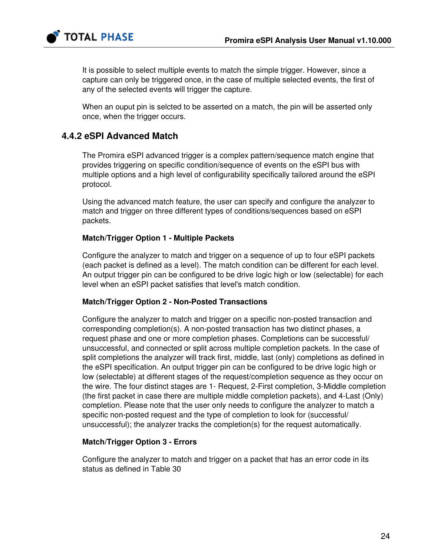

It is possible to select multiple events to match the simple trigger. However, since a capture can only be triggered once, in the case of multiple selected events, the first of any of the selected events will trigger the capture.

When an ouput pin is selcted to be asserted on a match, the pin will be asserted only once, when the trigger occurs.

### 4.4.2 eSPI Advanced Match

The Promira eSPI advanced trigger is a complex pattern/sequence match engine that provides triggering on specific condition/sequence of events on the eSPI bus with multiple options and a high level of configurability specifically tailored around the eSPI protocol.

Using the advanced match feature, the user can specify and configure the analyzer to match and trigger on three different types of conditions/sequences based on eSPI packets.

#### Match/Trigger Option 1 - Multiple Packets

Configure the analyzer to match and trigger on a sequence of up to four eSPI packets (each packet is defined as a level). The match condition can be different for each level. An output trigger pin can be configured to be drive logic high or low (selectable) for each level when an eSPI packet satisfies that level's match condition.

#### Match/Trigger Option 2 - Non-Posted Transactions

Configure the analyzer to match and trigger on a specific non-posted transaction and corresponding completion(s). A non-posted transaction has two distinct phases, a request phase and one or more completion phases. Completions can be successful/ unsuccessful, and connected or split across multiple completion packets. In the case of split completions the analyzer will track first, middle, last (only) completions as defined in the eSPI specification. An output trigger pin can be configured to be drive logic high or low (selectable) at different stages of the request/completion sequence as they occur on the wire. The four distinct stages are 1- Request, 2-First completion, 3-Middle completion (the first packet in case there are multiple middle completion packets), and 4-Last (Only) completion. Please note that the user only needs to configure the analyzer to match a specific non-posted request and the type of completion to look for (successful/ unsuccessful); the analyzer tracks the completion(s) for the request automatically.

#### Match/Trigger Option 3 - Errors

Configure the analyzer to match and trigger on a packet that has an error code in its status as defined in Table [30](#page-60-0)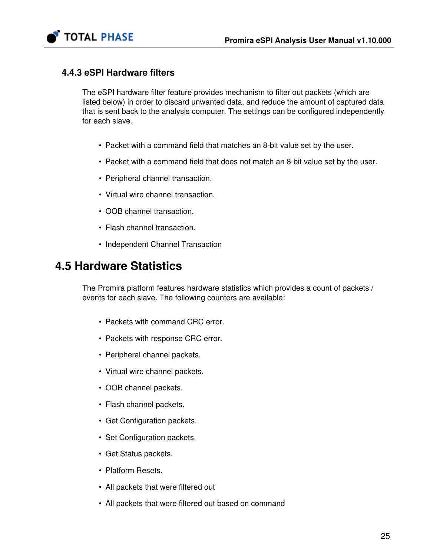

### 4.4.3 eSPI Hardware filters

The eSPI hardware filter feature provides mechanism to filter out packets (which are listed below) in order to discard unwanted data, and reduce the amount of captured data that is sent back to the analysis computer. The settings can be configured independently for each slave.

- Packet with a command field that matches an 8-bit value set by the user.
- Packet with a command field that does not match an 8-bit value set by the user.
- Peripheral channel transaction.
- Virtual wire channel transaction.
- OOB channel transaction.
- Flash channel transaction.
- Independent Channel Transaction

# 4.5 Hardware Statistics

The Promira platform features hardware statistics which provides a count of packets / events for each slave. The following counters are available:

- Packets with command CRC error.
- Packets with response CRC error.
- Peripheral channel packets.
- Virtual wire channel packets.
- OOB channel packets.
- Flash channel packets.
- Get Configuration packets.
- Set Configuration packets.
- Get Status packets.
- Platform Resets.
- All packets that were filtered out
- All packets that were filtered out based on command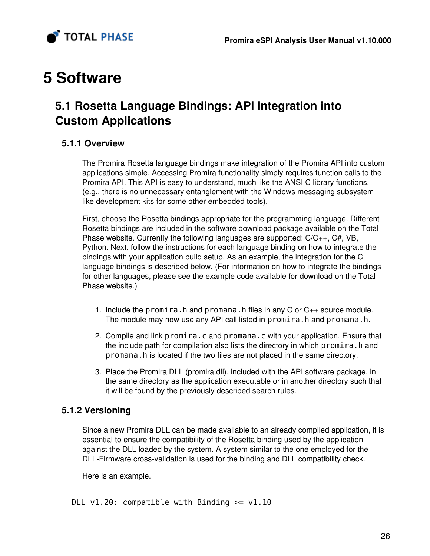

# 5 Software

# 5.1 Rosetta Language Bindings: API Integration into Custom Applications

### 5.1.1 Overview

The Promira Rosetta language bindings make integration of the Promira API into custom applications simple. Accessing Promira functionality simply requires function calls to the Promira API. This API is easy to understand, much like the ANSI C library functions, (e.g., there is no unnecessary entanglement with the Windows messaging subsystem like development kits for some other embedded tools).

First, choose the Rosetta bindings appropriate for the programming language. Different Rosetta bindings are included in the software download package available on the Total Phase website. Currently the following languages are supported: C/C++, C#, VB, Python. Next, follow the instructions for each language binding on how to integrate the bindings with your application build setup. As an example, the integration for the C language bindings is described below. (For information on how to integrate the bindings for other languages, please see the example code available for download on the Total Phase website.)

- 1. Include the promira.h and promana.h files in any C or C++ source module. The module may now use any API call listed in promira.h and promana.h.
- 2. Compile and link promira.c and promana.c with your application. Ensure that the include path for compilation also lists the directory in which promina.h and promana.h is located if the two files are not placed in the same directory.
- 3. Place the Promira DLL (promira.dll), included with the API software package, in the same directory as the application executable or in another directory such that it will be found by the previously described search rules.

## 5.1.2 Versioning

Since a new Promira DLL can be made available to an already compiled application, it is essential to ensure the compatibility of the Rosetta binding used by the application against the DLL loaded by the system. A system similar to the one employed for the DLL-Firmware cross-validation is used for the binding and DLL compatibility check.

Here is an example.

DLL  $v1.20$ : compatible with Binding  $>= v1.10$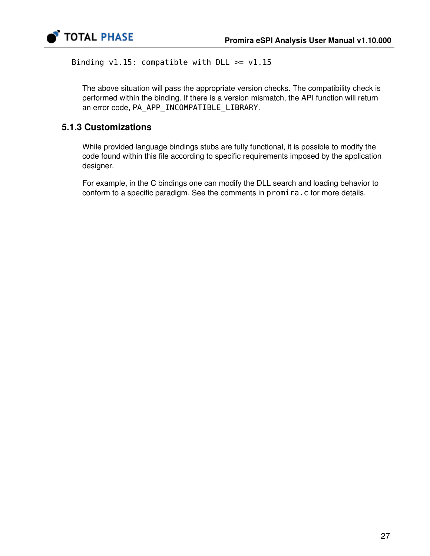

Binding  $v1.15$ : compatible with DLL  $>= v1.15$ 

The above situation will pass the appropriate version checks. The compatibility check is performed within the binding. If there is a version mismatch, the API function will return an error code, PA\_APP\_INCOMPATIBLE\_LIBRARY.

### 5.1.3 Customizations

While provided language bindings stubs are fully functional, it is possible to modify the code found within this file according to specific requirements imposed by the application designer.

For example, in the C bindings one can modify the DLL search and loading behavior to conform to a specific paradigm. See the comments in promira.c for more details.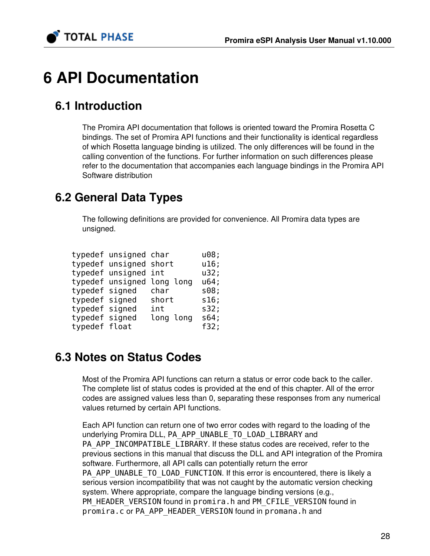

# 6 API Documentation

# 6.1 Introduction

The Promira API documentation that follows is oriented toward the Promira Rosetta C bindings. The set of Promira API functions and their functionality is identical regardless of which Rosetta language binding is utilized. The only differences will be found in the calling convention of the functions. For further information on such differences please refer to the documentation that accompanies each language bindings in the Promira API Software distribution

# 6.2 General Data Types

The following definitions are provided for convenience. All Promira data types are unsigned.

|                | typedef unsigned char  |                            | u08; |
|----------------|------------------------|----------------------------|------|
|                | typedef unsigned short |                            | u16; |
|                | typedef unsigned int   |                            | u32; |
|                |                        | typedef unsigned long long | u64; |
| typedef signed |                        | char                       | s08; |
| typedef signed |                        | short                      | s16; |
| typedef signed |                        | int                        | s32; |
| typedef signed |                        | long long                  | s64; |
| typedef float  |                        |                            | f32; |

# 6.3 Notes on Status Codes

Most of the Promira API functions can return a status or error code back to the caller. The complete list of status codes is provided at the end of this chapter. All of the error codes are assigned values less than 0, separating these responses from any numerical values returned by certain API functions.

Each API function can return one of two error codes with regard to the loading of the underlying Promira DLL, PA\_APP\_UNABLE\_TO\_LOAD\_LIBRARY and PA\_APP\_INCOMPATIBLE\_LIBRARY. If these status codes are received, refer to the previous sections in this manual that discuss the DLL and API integration of the Promira software. Furthermore, all API calls can potentially return the error PA\_APP\_UNABLE\_TO\_LOAD\_FUNCTION. If this error is encountered, there is likely a serious version incompatibility that was not caught by the automatic version checking system. Where appropriate, compare the language binding versions (e.g., PM\_HEADER\_VERSION found in promira.h and PM\_CFILE\_VERSION found in promira.c or PA\_APP\_HEADER\_VERSION found in promana.h and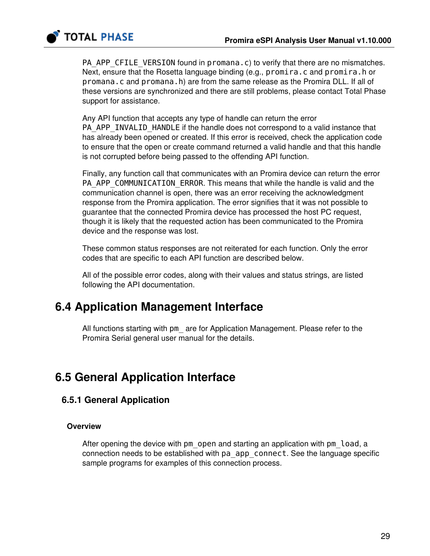

PA\_APP\_CFILE\_VERSION found in promana.c) to verify that there are no mismatches. Next, ensure that the Rosetta language binding (e.g., promira.c and promira.h or promana.c and promana.h) are from the same release as the Promira DLL. If all of these versions are synchronized and there are still problems, please contact Total Phase support for assistance.

Any API function that accepts any type of handle can return the error PA\_APP\_INVALID\_HANDLE if the handle does not correspond to a valid instance that has already been opened or created. If this error is received, check the application code to ensure that the open or create command returned a valid handle and that this handle is not corrupted before being passed to the offending API function.

Finally, any function call that communicates with an Promira device can return the error PA\_APP\_COMMUNICATION\_ERROR. This means that while the handle is valid and the communication channel is open, there was an error receiving the acknowledgment response from the Promira application. The error signifies that it was not possible to guarantee that the connected Promira device has processed the host PC request, though it is likely that the requested action has been communicated to the Promira device and the response was lost.

These common status responses are not reiterated for each function. Only the error codes that are specific to each API function are described below.

All of the possible error codes, along with their values and status strings, are listed following the API documentation.

# 6.4 Application Management Interface

All functions starting with pm\_ are for Application Management. Please refer to the Promira Serial general user manual for the details.

# 6.5 General Application Interface

### 6.5.1 General Application

#### **Overview**

After opening the device with pm\_open and starting an application with pm\_load, a connection needs to be established with pa\_app\_connect. See the language specific sample programs for examples of this connection process.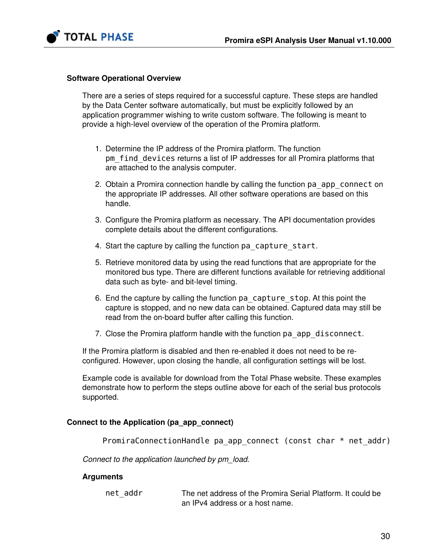

#### Software Operational Overview

There are a series of steps required for a successful capture. These steps are handled by the Data Center software automatically, but must be explicitly followed by an application programmer wishing to write custom software. The following is meant to provide a high-level overview of the operation of the Promira platform.

- 1. Determine the IP address of the Promira platform. The function pm\_find\_devices returns a list of IP addresses for all Promira platforms that are attached to the analysis computer.
- 2. Obtain a Promira connection handle by calling the function pa\_app\_connect on the appropriate IP addresses. All other software operations are based on this handle.
- 3. Configure the Promira platform as necessary. The API documentation provides complete details about the different configurations.
- 4. Start the capture by calling the function pa\_capture\_start.
- 5. Retrieve monitored data by using the read functions that are appropriate for the monitored bus type. There are different functions available for retrieving additional data such as byte- and bit-level timing.
- 6. End the capture by calling the function pa\_capture\_stop. At this point the capture is stopped, and no new data can be obtained. Captured data may still be read from the on-board buffer after calling this function.
- 7. Close the Promira platform handle with the function pa\_app\_disconnect.

If the Promira platform is disabled and then re-enabled it does not need to be reconfigured. However, upon closing the handle, all configuration settings will be lost.

Example code is available for download from the Total Phase website. These examples demonstrate how to perform the steps outline above for each of the serial bus protocols supported.

#### Connect to the Application (pa\_app\_connect)

PromiraConnectionHandle pa app connect (const char \* net addr)

Connect to the application launched by pm\_load.

#### Arguments

net addr The net address of the Promira Serial Platform. It could be an IPv4 address or a host name.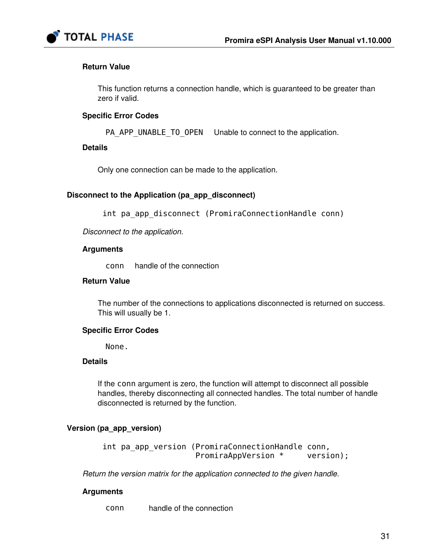

#### Return Value

This function returns a connection handle, which is guaranteed to be greater than zero if valid.

#### Specific Error Codes

PA\_APP\_UNABLE\_TO\_OPEN Unable to connect to the application.

#### Details

Only one connection can be made to the application.

#### Disconnect to the Application (pa\_app\_disconnect)

int pa\_app\_disconnect (PromiraConnectionHandle conn)

Disconnect to the application.

#### Arguments

conn handle of the connection

#### Return Value

The number of the connections to applications disconnected is returned on success. This will usually be 1.

#### Specific Error Codes

None.

#### **Details**

If the conn argument is zero, the function will attempt to disconnect all possible handles, thereby disconnecting all connected handles. The total number of handle disconnected is returned by the function.

#### Version (pa\_app\_version)

int pa app version (PromiraConnectionHandle conn, PromiraAppVersion \* version);

Return the version matrix for the application connected to the given handle.

#### **Arguments**

conn handle of the connection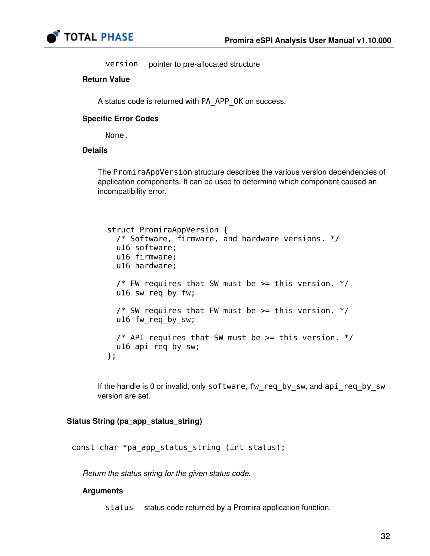

version pointer to pre-allocated structure

#### Return Value

A status code is returned with PA\_APP\_OK on success.

#### Specific Error Codes

None.

#### **Details**

The PromiraAppVersion structure describes the various version dependencies of application components. It can be used to determine which component caused an incompatibility error.

```
 struct PromiraAppVersion {
  /* Software, firmware, and hardware versions. */
  u16 software;
  u16 firmware;
  u16 hardware;
 /* FW requires that SW must be >= this version. */
  u16 sw_req_by_fw;
 /* SW requires that FW must be >= this version. */
 u16 fw req by sw;
 /* API requires that SW must be >= this version. */
  u16 api_req_by_sw;
};
```
If the handle is 0 or invalid, only software, fw\_req\_by\_sw, and api\_req\_by\_sw version are set.

#### Status String (pa\_app\_status\_string)

const char \*pa\_app\_status\_string (int status);

Return the status string for the given status code.

#### Arguments

status status code returned by a Promira application function.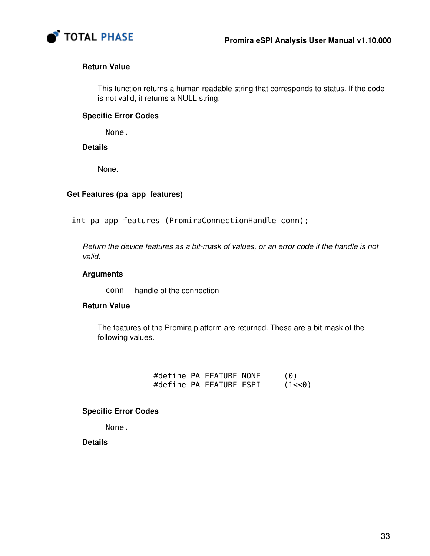

#### Return Value

This function returns a human readable string that corresponds to status. If the code is not valid, it returns a NULL string.

#### Specific Error Codes

None.

#### **Details**

None.

#### Get Features (pa\_app\_features)

int pa\_app\_features (PromiraConnectionHandle conn);

Return the device features as a bit-mask of values, or an error code if the handle is not valid.

#### Arguments

conn handle of the connection

#### Return Value

The features of the Promira platform are returned. These are a bit-mask of the following values.

|  | #define PA FEATURE NONE | (0)     |
|--|-------------------------|---------|
|  | #define PA FEATURE ESPI | (1 < 0) |

### Specific Error Codes

None.

**Details**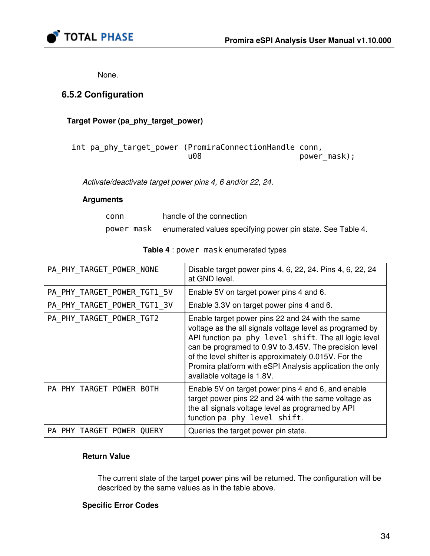

None.

### 6.5.2 Configuration

#### Target Power (pa\_phy\_target\_power)

 int pa\_phy\_target\_power (PromiraConnectionHandle conn, u08 power\_mask);

Activate/deactivate target power pins 4, 6 and/or 22, 24.

#### Arguments

| conn       | handle of the connection                                   |
|------------|------------------------------------------------------------|
| power mask | enumerated values specifying power pin state. See Table 4. |

<span id="page-33-0"></span>

| PA PHY TARGET POWER NONE    | Disable target power pins 4, 6, 22, 24. Pins 4, 6, 22, 24<br>at GND level.                                                                                                                                                                                                                                                                                                        |
|-----------------------------|-----------------------------------------------------------------------------------------------------------------------------------------------------------------------------------------------------------------------------------------------------------------------------------------------------------------------------------------------------------------------------------|
| PA PHY TARGET POWER TGT1 5V | Enable 5V on target power pins 4 and 6.                                                                                                                                                                                                                                                                                                                                           |
| PA PHY TARGET POWER TGT1 3V | Enable 3.3V on target power pins 4 and 6.                                                                                                                                                                                                                                                                                                                                         |
| PA PHY TARGET POWER TGT2    | Enable target power pins 22 and 24 with the same<br>voltage as the all signals voltage level as programed by<br>API function pa phy level shift. The all logic level<br>can be programed to 0.9V to 3.45V. The precision level<br>of the level shifter is approximately 0.015V. For the<br>Promira platform with eSPI Analysis application the only<br>available voltage is 1.8V. |
| PA PHY TARGET POWER BOTH    | Enable 5V on target power pins 4 and 6, and enable<br>target power pins 22 and 24 with the same voltage as<br>the all signals voltage level as programed by API<br>function pa phy level shift.                                                                                                                                                                                   |
| PA PHY TARGET POWER QUERY   | Queries the target power pin state.                                                                                                                                                                                                                                                                                                                                               |

#### Table 4 : power\_mask enumerated types

#### Return Value

The current state of the target power pins will be returned. The configuration will be described by the same values as in the table above.

#### Specific Error Codes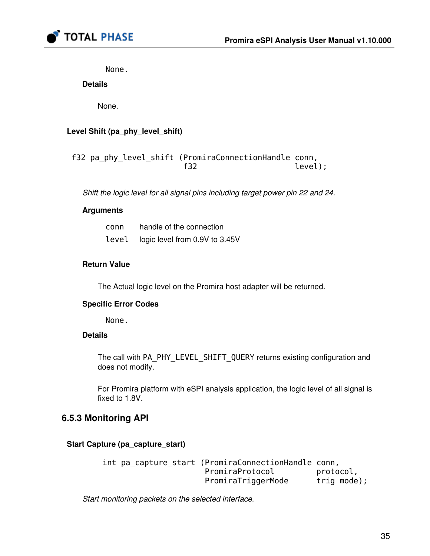

None.

#### **Details**

None.

#### Level Shift (pa\_phy\_level\_shift)

```
 f32 pa_phy_level_shift (PromiraConnectionHandle conn,
f32 level);
```
Shift the logic level for all signal pins including target power pin 22 and 24.

#### Arguments

| conn  | handle of the connection       |
|-------|--------------------------------|
| level | logic level from 0.9V to 3.45V |

#### Return Value

The Actual logic level on the Promira host adapter will be returned.

#### Specific Error Codes

None.

#### **Details**

The call with PA\_PHY\_LEVEL\_SHIFT\_QUERY returns existing configuration and does not modify.

For Promira platform with eSPI analysis application, the logic level of all signal is fixed to 1.8V.

#### 6.5.3 Monitoring API

#### Start Capture (pa\_capture\_start)

```
 int pa_capture_start (PromiraConnectionHandle conn,
                   PromiraProtocol protocol,
                   PromiraTriggerMode trig mode);
```
Start monitoring packets on the selected interface.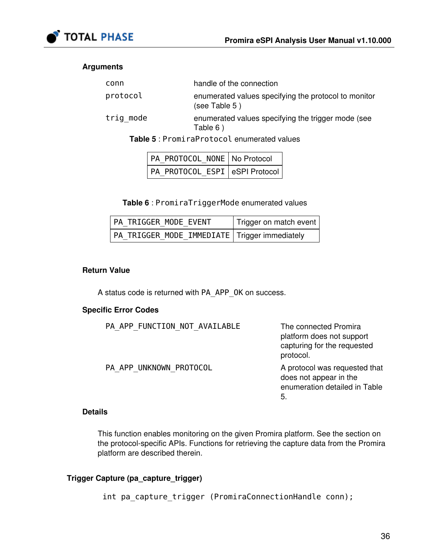

#### <span id="page-35-0"></span>Arguments

| conn      | handle of the connection                                              |
|-----------|-----------------------------------------------------------------------|
| protocol  | enumerated values specifying the protocol to monitor<br>(see Table 5) |
| trig mode | enumerated values specifying the trigger mode (see<br>Table 6)        |

Table 5 : PromiraProtocol enumerated values

| PA_PROTOCOL_NONE   No Protocol |  |
|--------------------------------|--|
| PA_PROTOCOL_ESPI eSPI Protocol |  |

Table 6 : PromiraTriggerMode enumerated values

<span id="page-35-1"></span>

| PA TRIGGER MODE EVENT                           | Trigger on match event |
|-------------------------------------------------|------------------------|
| PA TRIGGER MODE IMMEDIATE   Trigger immediately |                        |

#### Return Value

A status code is returned with PA\_APP\_OK on success.

#### Specific Error Codes

| PA APP FUNCTION NOT AVAILABLE | The connected Promira<br>platform does not support<br>capturing for the requested<br>protocol. |
|-------------------------------|------------------------------------------------------------------------------------------------|
| PA APP UNKNOWN PROTOCOL       | A protocol was requested that<br>does not appear in the<br>enumeration detailed in Table<br>5. |

#### **Details**

This function enables monitoring on the given Promira platform. See the section on the protocol-specific APIs. Functions for retrieving the capture data from the Promira platform are described therein.

#### Trigger Capture (pa\_capture\_trigger)

int pa\_capture\_trigger (PromiraConnectionHandle conn);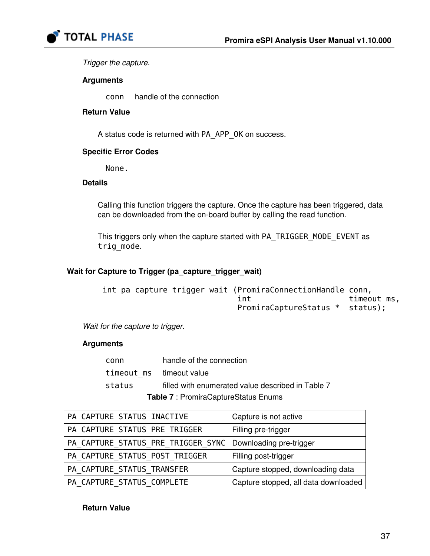

Trigger the capture.

#### Arguments

conn handle of the connection

#### Return Value

A status code is returned with PA\_APP\_OK on success.

#### Specific Error Codes

None.

#### Details

Calling this function triggers the capture. Once the capture has been triggered, data can be downloaded from the on-board buffer by calling the read function.

This triggers only when the capture started with PA\_TRIGGER\_MODE\_EVENT as trig\_mode.

#### Wait for Capture to Trigger (pa\_capture\_trigger\_wait)

```
 int pa_capture_trigger_wait (PromiraConnectionHandle conn,
                        int timeout_ms,
                         PromiraCaptureStatus * status);
```
Wait for the capture to trigger.

#### Arguments

|                         | Table 7 : PromiraCaptureStatus Enums              |
|-------------------------|---------------------------------------------------|
| status                  | filled with enumerated value described in Table 7 |
| timeout ms timeoutvalue |                                                   |
| conn                    | handle of the connection                          |

<span id="page-36-0"></span>

| PA CAPTURE_STATUS_INACTIVE                                   | Capture is not active                |
|--------------------------------------------------------------|--------------------------------------|
| PA CAPTURE_STATUS_PRE_TRIGGER                                | Filling pre-trigger                  |
| PA_CAPTURE_STATUS_PRE_TRIGGER_SYNC   Downloading pre-trigger |                                      |
| PA CAPTURE STATUS POST TRIGGER                               | Filling post-trigger                 |
| PA CAPTURE STATUS TRANSFER                                   | Capture stopped, downloading data    |
| PA CAPTURE STATUS COMPLETE                                   | Capture stopped, all data downloaded |

Return Value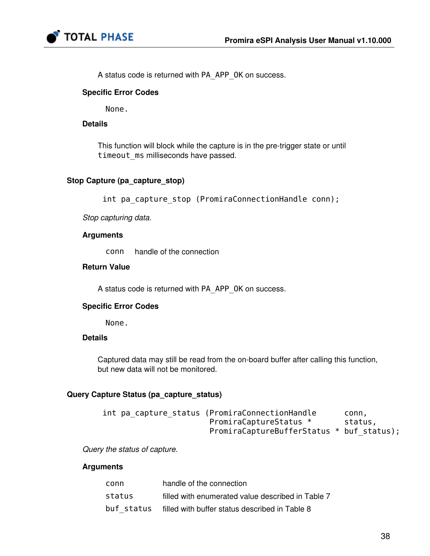

A status code is returned with PA\_APP\_OK on success.

#### Specific Error Codes

None.

#### **Details**

This function will block while the capture is in the pre-trigger state or until timeout ms milliseconds have passed.

#### Stop Capture (pa\_capture\_stop)

int pa\_capture\_stop (PromiraConnectionHandle conn);

Stop capturing data.

#### Arguments

conn handle of the connection

#### Return Value

A status code is returned with PA\_APP\_OK on success.

#### Specific Error Codes

None.

#### **Details**

Captured data may still be read from the on-board buffer after calling this function, but new data will not be monitored.

#### Query Capture Status (pa\_capture\_status)

| int pa capture status (PromiraConnectionHandle | .conn   |
|------------------------------------------------|---------|
| PromiraCaptureStatus *                         | status, |
| PromiraCaptureBufferStatus * buf status);      |         |

Query the status of capture.

#### Arguments

| conn       | handle of the connection                          |
|------------|---------------------------------------------------|
| status     | filled with enumerated value described in Table 7 |
| buf status | filled with buffer status described in Table 8    |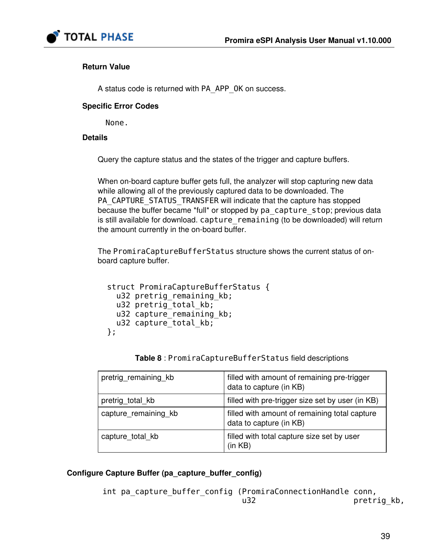

#### Return Value

A status code is returned with PA\_APP\_OK on success.

#### Specific Error Codes

None.

#### **Details**

Query the capture status and the states of the trigger and capture buffers.

When on-board capture buffer gets full, the analyzer will stop capturing new data while allowing all of the previously captured data to be downloaded. The PA\_CAPTURE\_STATUS\_TRANSFER will indicate that the capture has stopped because the buffer became \*full\* or stopped by pa\_capture\_stop; previous data is still available for download. capture\_remaining (to be downloaded) will return the amount currently in the on-board buffer.

The PromiraCaptureBufferStatus structure shows the current status of onboard capture buffer.

```
 struct PromiraCaptureBufferStatus {
  u32 pretrig_remaining_kb;
 u32 pretrig total kb;
 u32 capture remaining kb;
 u32 capture total kb;
};
```
Table 8 : PromiraCaptureBufferStatus field descriptions

<span id="page-38-0"></span>

| pretrig remaining kb | filled with amount of remaining pre-trigger<br>data to capture (in KB)   |
|----------------------|--------------------------------------------------------------------------|
| pretrig total kb     | filled with pre-trigger size set by user (in KB)                         |
| capture_remaining_kb | filled with amount of remaining total capture<br>data to capture (in KB) |
| capture_total_kb     | filled with total capture size set by user<br>(in KB)                    |

#### Configure Capture Buffer (pa\_capture\_buffer\_config)

int pa capture buffer config (PromiraConnectionHandle conn, u32 pretrig kb,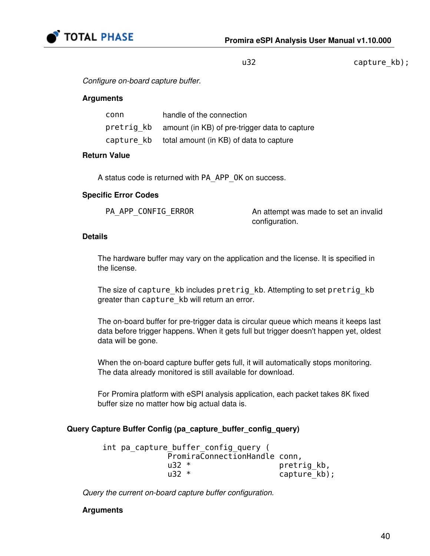

u32 capture\_kb);

Configure on-board capture buffer.

#### Arguments

| conn       | handle of the connection                                 |
|------------|----------------------------------------------------------|
|            | pretrig kb amount (in KB) of pre-trigger data to capture |
| capture kb | total amount (in KB) of data to capture                  |

#### Return Value

A status code is returned with PA\_APP\_OK on success.

#### Specific Error Codes

| PA APP CONFIG ERROR |  | A۱ |
|---------------------|--|----|
|---------------------|--|----|

n attempt was made to set an invalid configuration.

#### Details

The hardware buffer may vary on the application and the license. It is specified in the license.

The size of capture kb includes pretrig kb. Attempting to set pretrig kb greater than capture kb will return an error.

The on-board buffer for pre-trigger data is circular queue which means it keeps last data before trigger happens. When it gets full but trigger doesn't happen yet, oldest data will be gone.

When the on-board capture buffer gets full, it will automatically stops monitoring. The data already monitored is still available for download.

For Promira platform with eSPI analysis application, each packet takes 8K fixed buffer size no matter how big actual data is.

#### Query Capture Buffer Config (pa\_capture\_buffer\_config\_query)

 int pa\_capture\_buffer\_config\_query ( PromiraConnectionHandle conn, u32 \* pretrig kb, u32 \* capture kb);

Query the current on-board capture buffer configuration.

#### Arguments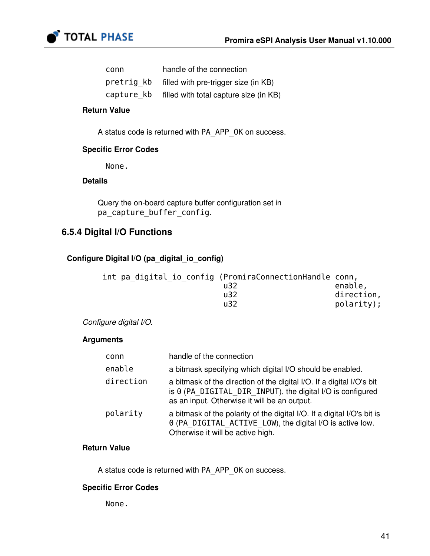

| conn       | handle of the connection               |
|------------|----------------------------------------|
| pretrig kb | filled with pre-trigger size (in KB)   |
| capture kb | filled with total capture size (in KB) |

#### Return Value

A status code is returned with PA\_APP\_OK on success.

#### Specific Error Codes

None.

#### Details

Query the on-board capture buffer configuration set in pa\_capture\_buffer\_config.

### 6.5.4 Digital I/O Functions

#### Configure Digital I/O (pa\_digital\_io\_config)

| int pa digital io config (PromiraConnectionHandle conn, |            |
|---------------------------------------------------------|------------|
| u32                                                     | enable,    |
| u32                                                     | direction, |
| u32                                                     | polarity); |

#### Configure digital I/O.

#### Arguments

| conn      | handle of the connection                                                                                                                                                            |
|-----------|-------------------------------------------------------------------------------------------------------------------------------------------------------------------------------------|
| enable    | a bitmask specifying which digital I/O should be enabled.                                                                                                                           |
| direction | a bitmask of the direction of the digital I/O. If a digital I/O's bit<br>is 0 (PA DIGITAL DIR INPUT), the digital I/O is configured<br>as an input. Otherwise it will be an output. |
| polarity  | a bitmask of the polarity of the digital I/O. If a digital I/O's bit is<br>0 (PA DIGITAL ACTIVE LOW), the digital I/O is active low.<br>Otherwise it will be active high.           |

#### Return Value

A status code is returned with PA\_APP\_OK on success.

#### Specific Error Codes

None.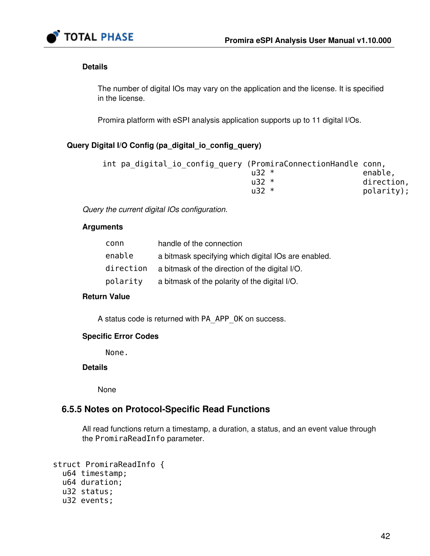

#### Details

The number of digital IOs may vary on the application and the license. It is specified in the license.

Promira platform with eSPI analysis application supports up to 11 digital I/Os.

#### Query Digital I/O Config (pa\_digital\_io\_config\_query)

| int pa_digital_io_config_query (PromiraConnectionHandle conn, |              |            |
|---------------------------------------------------------------|--------------|------------|
|                                                               | $1.32*$      | enable,    |
|                                                               | $\mu$ 32 $*$ | direction, |
|                                                               | $\mu$ 32 $*$ | polarity); |

Query the current digital IOs configuration.

#### Arguments

| conn      | handle of the connection                            |
|-----------|-----------------------------------------------------|
| enable    | a bitmask specifying which digital IOs are enabled. |
| direction | a bitmask of the direction of the digital I/O.      |
| polarity  | a bitmask of the polarity of the digital I/O.       |

#### Return Value

A status code is returned with PA\_APP\_OK on success.

#### Specific Error Codes

None.

#### **Details**

None

#### 6.5.5 Notes on Protocol-Specific Read Functions

All read functions return a timestamp, a duration, a status, and an event value through the PromiraReadInfo parameter.

```
 struct PromiraReadInfo {
  u64 timestamp;
  u64 duration;
  u32 status;
  u32 events;
```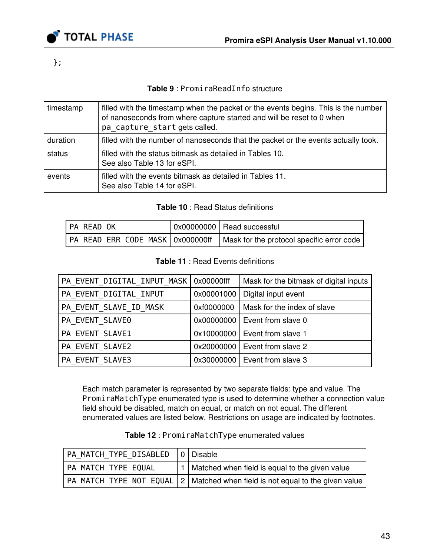

};

### Table 9 : PromiraReadInfo structure

<span id="page-42-2"></span>

| timestamp | filled with the timestamp when the packet or the events begins. This is the number<br>of nanoseconds from where capture started and will be reset to 0 when<br>pa capture start gets called. |
|-----------|----------------------------------------------------------------------------------------------------------------------------------------------------------------------------------------------|
| duration  | filled with the number of nanoseconds that the packet or the events actually took.                                                                                                           |
| status    | filled with the status bitmask as detailed in Tables 10.<br>See also Table 13 for eSPI.                                                                                                      |
| events    | filled with the events bitmask as detailed in Tables 11.<br>See also Table 14 for eSPI.                                                                                                      |

#### Table 10 : Read Status definitions

<span id="page-42-0"></span>

| PA READ OK | 0x00000000 Read successful                                                     |
|------------|--------------------------------------------------------------------------------|
|            | PA READ ERR CODE MASK   0x000000ff   Mask for the protocol specific error code |

#### Table 11 : Read Events definitions

<span id="page-42-1"></span>

| PA_EVENT_DIGITAL_INPUT_MASK   0x00000fff |            | Mask for the bitmask of digital inputs |
|------------------------------------------|------------|----------------------------------------|
| PA_EVENT_DIGITAL_INPUT                   | 0x00001000 | Digital input event                    |
| PA EVENT SLAVE ID MASK                   | 0xf0000000 | Mask for the index of slave            |
| PA EVENT SLAVE0                          |            | $0x00000000$   Event from slave 0      |
| PA_EVENT_SLAVE1                          |            | 0x10000000   Event from slave 1        |
| PA EVENT SLAVE2                          |            | $0x20000000$   Event from slave 2      |
| PA EVENT SLAVE3                          |            | 0x30000000   Event from slave 3        |

Each match parameter is represented by two separate fields: type and value. The PromiraMatchType enumerated type is used to determine whether a connection value field should be disabled, match on equal, or match on not equal. The different enumerated values are listed below. Restrictions on usage are indicated by footnotes.

<span id="page-42-3"></span>

| PA MATCH TYPE DISABLED | 0   Disable                                                                      |
|------------------------|----------------------------------------------------------------------------------|
| PA MATCH TYPE EQUAL    | 1   Matched when field is equal to the given value                               |
|                        | PA MATCH TYPE NOT EQUAL   2   Matched when field is not equal to the given value |

Table 12 : PromiraMatchType enumerated values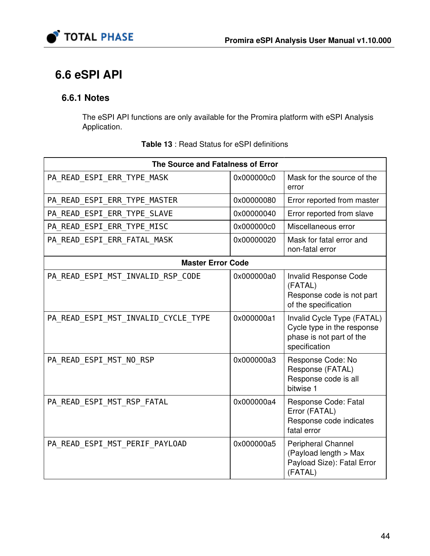



# 6.6 eSPI API

## 6.6.1 Notes

The eSPI API functions are only available for the Promira platform with eSPI Analysis Application.

<span id="page-43-0"></span>

| The Source and Fatalness of Error   |            |                                                                                                       |  |
|-------------------------------------|------------|-------------------------------------------------------------------------------------------------------|--|
| PA READ ESPI ERR TYPE MASK          | 0x000000c0 | Mask for the source of the<br>error                                                                   |  |
| PA READ ESPI ERR TYPE MASTER        | 0x00000080 | Error reported from master                                                                            |  |
| PA READ ESPI ERR TYPE SLAVE         | 0x00000040 | Error reported from slave                                                                             |  |
| PA READ ESPI ERR TYPE MISC          | 0x000000c0 | Miscellaneous error                                                                                   |  |
| PA_READ_ESPI_ERR_FATAL_MASK         | 0x00000020 | Mask for fatal error and<br>non-fatal error                                                           |  |
| <b>Master Error Code</b>            |            |                                                                                                       |  |
| PA READ ESPI MST INVALID RSP CODE   | 0x000000a0 | Invalid Response Code<br>(FATAL)<br>Response code is not part<br>of the specification                 |  |
| PA READ ESPI MST INVALID CYCLE TYPE | 0x000000a1 | Invalid Cycle Type (FATAL)<br>Cycle type in the response<br>phase is not part of the<br>specification |  |
| PA READ ESPI MST NO RSP             | 0x000000a3 | Response Code: No<br>Response (FATAL)<br>Response code is all<br>bitwise 1                            |  |
| PA READ ESPI MST RSP FATAL          | 0x000000a4 | Response Code: Fatal<br>Error (FATAL)<br>Response code indicates<br>fatal error                       |  |
| PA READ ESPI MST PERIF PAYLOAD      | 0x000000a5 | Peripheral Channel<br>(Payload length > Max<br>Payload Size): Fatal Error<br>(FATAL)                  |  |

Table 13 : Read Status for eSPI definitions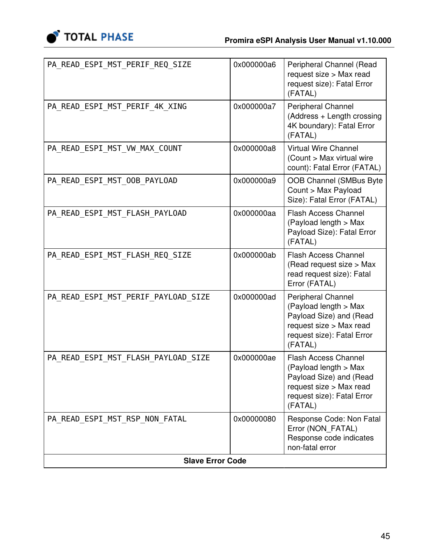

| <b>Slave Error Code</b>             |            |                                                                                                                                                     |  |
|-------------------------------------|------------|-----------------------------------------------------------------------------------------------------------------------------------------------------|--|
| PA_READ_ESPI_MST_RSP_NON_FATAL      | 0x00000080 | Response Code: Non Fatal<br>Error (NON_FATAL)<br>Response code indicates<br>non-fatal error                                                         |  |
| PA READ ESPI MST FLASH PAYLOAD SIZE | 0x000000ae | <b>Flash Access Channel</b><br>(Payload length > Max<br>Payload Size) and (Read<br>request size > Max read<br>request size): Fatal Error<br>(FATAL) |  |
| PA_READ_ESPI_MST_PERIF_PAYLOAD_SIZE | 0x000000ad | Peripheral Channel<br>(Payload length > Max<br>Payload Size) and (Read<br>request size > Max read<br>request size): Fatal Error<br>(FATAL)          |  |
| PA_READ_ESPI_MST_FLASH_REQ_SIZE     | 0x000000ab | <b>Flash Access Channel</b><br>(Read request size > Max<br>read request size): Fatal<br>Error (FATAL)                                               |  |
| PA READ ESPI MST FLASH PAYLOAD      | 0x000000aa | <b>Flash Access Channel</b><br>(Payload length > Max<br>Payload Size): Fatal Error<br>(FATAL)                                                       |  |
| PA_READ_ESPI_MST_00B_PAYL0AD        | 0x000000a9 | <b>OOB Channel (SMBus Byte</b><br>Count > Max Payload<br>Size): Fatal Error (FATAL)                                                                 |  |
| PA READ_ESPI_MST_VW_MAX_COUNT       | 0x000000a8 | <b>Virtual Wire Channel</b><br>(Count > Max virtual wire<br>count): Fatal Error (FATAL)                                                             |  |
| PA_READ_ESPI_MST_PERIF_4K_XING      | 0x000000a7 | <b>Peripheral Channel</b><br>(Address + Length crossing<br>4K boundary): Fatal Error<br>(FATAL)                                                     |  |
| PA READ ESPI MST PERIF REQ SIZE     | 0x000000a6 | Peripheral Channel (Read<br>request size > Max read<br>request size): Fatal Error<br>(FATAL)                                                        |  |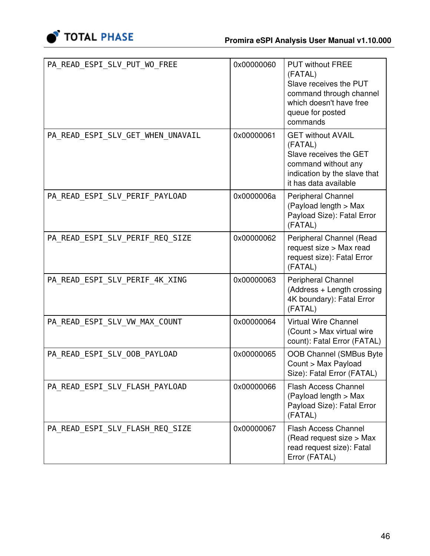

| PA READ ESPI SLV PUT WO FREE      | 0x00000060 | <b>PUT without FREE</b><br>(FATAL)<br>Slave receives the PUT<br>command through channel<br>which doesn't have free<br>queue for posted<br>commands |
|-----------------------------------|------------|----------------------------------------------------------------------------------------------------------------------------------------------------|
| PA READ ESPI SLV GET WHEN UNAVAIL | 0x00000061 | <b>GET without AVAIL</b><br>(FATAL)<br>Slave receives the GET<br>command without any<br>indication by the slave that<br>it has data available      |
| PA_READ_ESPI_SLV_PERIF_PAYLOAD    | 0x0000006a | <b>Peripheral Channel</b><br>(Payload length > Max<br>Payload Size): Fatal Error<br>(FATAL)                                                        |
| PA READ_ESPI_SLV_PERIF_REQ_SIZE   | 0x00000062 | Peripheral Channel (Read<br>request size > Max read<br>request size): Fatal Error<br>(FATAL)                                                       |
| PA READ ESPI SLV PERIF 4K XING    | 0x00000063 | Peripheral Channel<br>(Address + Length crossing<br>4K boundary): Fatal Error<br>(FATAL)                                                           |
| PA READ ESPI SLV VW MAX COUNT     | 0x00000064 | <b>Virtual Wire Channel</b><br>(Count > Max virtual wire<br>count): Fatal Error (FATAL)                                                            |
| PA READ ESPI SLV OOB PAYLOAD      | 0x00000065 | OOB Channel (SMBus Byte<br>Count > Max Payload<br>Size): Fatal Error (FATAL)                                                                       |
| PA READ ESPI SLV FLASH PAYLOAD    | 0x00000066 | <b>Flash Access Channel</b><br>(Payload length > Max<br>Payload Size): Fatal Error<br>(FATAL)                                                      |
| PA_READ_ESPI_SLV_FLASH_REQ_SIZE   | 0x00000067 | <b>Flash Access Channel</b><br>(Read request size > Max<br>read request size): Fatal<br>Error (FATAL)                                              |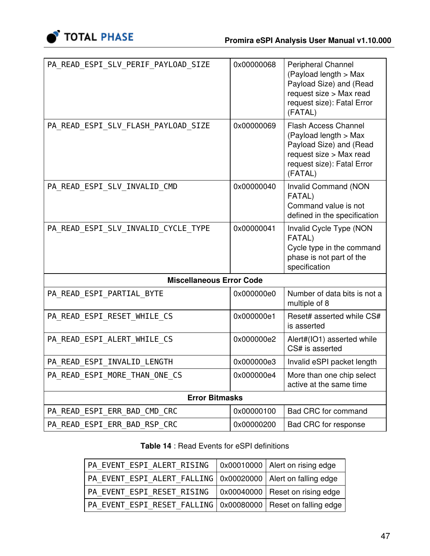

| PA_READ_ESPI_SLV_PERIF_PAYLOAD_SIZE | 0x00000068 | Peripheral Channel<br>(Payload length > Max<br>Payload Size) and (Read<br>request size > Max read<br>request size): Fatal Error<br>(FATAL)          |
|-------------------------------------|------------|-----------------------------------------------------------------------------------------------------------------------------------------------------|
| PA_READ_ESPI_SLV_FLASH_PAYLOAD SIZE | 0x00000069 | <b>Flash Access Channel</b><br>(Payload length > Max<br>Payload Size) and (Read<br>request size > Max read<br>request size): Fatal Error<br>(FATAL) |
| PA_READ_ESPI_SLV_INVALID_CMD        | 0x00000040 | <b>Invalid Command (NON</b><br>FATAL)<br>Command value is not<br>defined in the specification                                                       |
| PA_READ_ESPI_SLV_INVALID_CYCLE_TYPE | 0x00000041 | Invalid Cycle Type (NON<br>FATAL)<br>Cycle type in the command<br>phase is not part of the<br>specification                                         |
| <b>Miscellaneous Error Code</b>     |            |                                                                                                                                                     |
| PA_READ_ESPI_PARTIAL_BYTE           | 0x000000e0 | Number of data bits is not a<br>multiple of 8                                                                                                       |
| PA READ ESPI RESET WHILE CS         | 0x000000e1 | Reset# asserted while CS#<br>is asserted                                                                                                            |
| PA READ ESPI ALERT WHILE CS         | 0x000000e2 | Alert#(IO1) asserted while<br>CS# is asserted                                                                                                       |
| PA_READ_ESPI_INVALID_LENGTH         | 0x000000e3 | Invalid eSPI packet length                                                                                                                          |
| PA READ ESPI MORE THAN ONE CS       | 0x000000e4 | More than one chip select<br>active at the same time                                                                                                |
| <b>Error Bitmasks</b>               |            |                                                                                                                                                     |
| PA READ ESPI ERR BAD CMD CRC        | 0x00000100 | Bad CRC for command                                                                                                                                 |
| PA READ ESPI ERR BAD RSP CRC        | 0x00000200 | Bad CRC for response                                                                                                                                |

### Table 14 : Read Events for eSPI definitions

<span id="page-46-0"></span>

| PA EVENT ESPI ALERT RISING                                       | $\vert$ 0x00010000 Alert on rising edge |
|------------------------------------------------------------------|-----------------------------------------|
| PA EVENT ESPI ALERT FALLING   0x00020000   Alert on falling edge |                                         |
| PA EVENT ESPI RESET RISING   0x00040000 Reset on rising edge     |                                         |
| PA EVENT ESPI RESET FALLING   0x00080000   Reset on falling edge |                                         |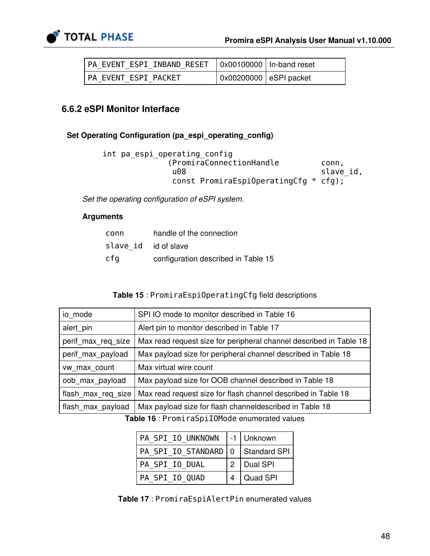

| PA EVENT ESPI INBAND RESET   0x00100000   In-band reset |                        |  |
|---------------------------------------------------------|------------------------|--|
| PA EVENT ESPI PACKET                                    | 0x00200000 eSPI packet |  |

### 6.6.2 eSPI Monitor Interface

#### Set Operating Configuration (pa\_espi\_operating\_config)

```
 int pa_espi_operating_config
          (PromiraConnectionHandle conn,
          u08 slave_id,
           const PromiraEspiOperatingCfg * cfg);
```
Set the operating configuration of eSPI system.

#### Arguments

| conn                 | handle of the connection            |
|----------------------|-------------------------------------|
| slave id id of slave |                                     |
| cfq                  | configuration described in Table 15 |

#### Table 15 : PromiraEspiOperatingCfg field descriptions

<span id="page-47-0"></span>

| io mode            | SPI IO mode to monitor described in Table 16                       |
|--------------------|--------------------------------------------------------------------|
| alert_pin          | Alert pin to monitor described in Table 17                         |
| perif max req size | Max read request size for peripheral channel described in Table 18 |
| perif max payload  | Max payload size for peripheral channel described in Table 18      |
| vw_max_count       | Max virtual wire count                                             |
| oob max payload    | Max payload size for OOB channel described in Table 18             |
| flash max reg size | Max read request size for flash channel described in Table 18      |
| flash max payload  | Max payload size for flash channel described in Table 18           |

<span id="page-47-1"></span>Table 16 : PromiraSpiIOMode enumerated values

| PA SPI IO UNKNOWN  -1   Unknown       |                |
|---------------------------------------|----------------|
| PA SPI IO STANDARD   0   Standard SPI |                |
| PA SPI IO DUAL                        | $2$   Dual SPI |
| PA SPI IO QUAD                        | Quad SPI       |

<span id="page-47-2"></span>Table 17 : PromiraEspiAlertPin enumerated values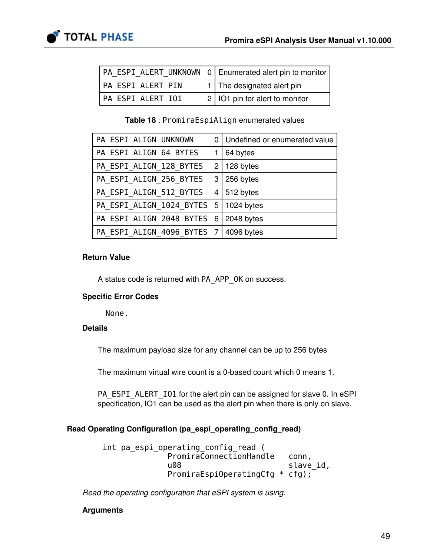|                   | PA ESPI ALERT UNKNOWN   0   Enumerated alert pin to monitor |
|-------------------|-------------------------------------------------------------|
| PA ESPI ALERT PIN | 1   The designated alert pin                                |
| PA ESPI ALERT IO1 | $\vert$ 2   IO1 pin for alert to monitor                    |

Table 18 : PromiraEspiAlign enumerated values

<span id="page-48-0"></span>

| PA ESPI ALIGN UNKNOWN        | 0                         | Undefined or enumerated value |
|------------------------------|---------------------------|-------------------------------|
| PA_ESPI_ALIGN_64_BYTES       |                           | 64 bytes                      |
| PA_ESPI_ALIGN_128_BYTES      | $\mathbf{2}^{\mathsf{I}}$ | 128 bytes                     |
| PA ESPI ALIGN 256 BYTES      | 3                         | 256 bytes                     |
| PA ESPI ALIGN 512 BYTES      | 4                         | 512 bytes                     |
| PA ESPI ALIGN 1024 BYTES     | 5                         | 1024 bytes                    |
| PA ESPI ALIGN 2048 BYTES     | 6                         | 2048 bytes                    |
| PA ESPI ALIGN 4096 BYTES   7 |                           | 4096 bytes                    |

#### Return Value

A status code is returned with PA\_APP\_OK on success.

#### Specific Error Codes

None.

### Details

The maximum payload size for any channel can be up to 256 bytes

The maximum virtual wire count is a 0-based count which 0 means 1.

PA\_ESPI\_ALERT\_IO1 for the alert pin can be assigned for slave 0. In eSPI specification, IO1 can be used as the alert pin when there is only on slave.

### Read Operating Configuration (pa\_espi\_operating\_config\_read)

 int pa\_espi\_operating\_config\_read ( PromiraConnectionHandle conn, u08 slave id, PromiraEspiOperatingCfg \* cfg);

Read the operating configuration that eSPI system is using.

### Arguments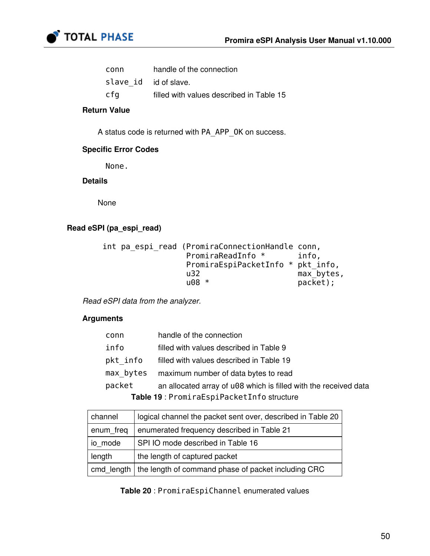

| conn                  | handle of the connection                 |
|-----------------------|------------------------------------------|
| slave id id of slave. |                                          |
| cfq                   | filled with values described in Table 15 |

#### Return Value

A status code is returned with PA\_APP\_OK on success.

#### Specific Error Codes

None.

#### Details

None

#### Read eSPI (pa\_espi\_read)

```
 int pa_espi_read (PromiraConnectionHandle conn,
                   PromiraReadInfo * info,
                    PromiraEspiPacketInfo * pkt_info,
                   u32 max\overline{\phantom{a}}bytes,<br>u08 * a08 packet):
                                               packet);
```
Read eSPI data from the analyzer.

### Arguments

| conn                                      | handle of the connection                                         |  |
|-------------------------------------------|------------------------------------------------------------------|--|
| info                                      | filled with values described in Table 9                          |  |
| pkt info                                  | filled with values described in Table 19                         |  |
| max bytes                                 | maximum number of data bytes to read                             |  |
| packet                                    | an allocated array of u08 which is filled with the received data |  |
| Table 19: PromiraEspiPacketInfo structure |                                                                  |  |

<span id="page-49-0"></span>

| channel   | logical channel the packet sent over, described in Table 20      |
|-----------|------------------------------------------------------------------|
| enum freq | enumerated frequency described in Table 21                       |
| io mode   | SPI IO mode described in Table 16                                |
| length    | the length of captured packet                                    |
|           | cmd length   the length of command phase of packet including CRC |

<span id="page-49-1"></span>Table 20 : PromiraEspiChannel enumerated values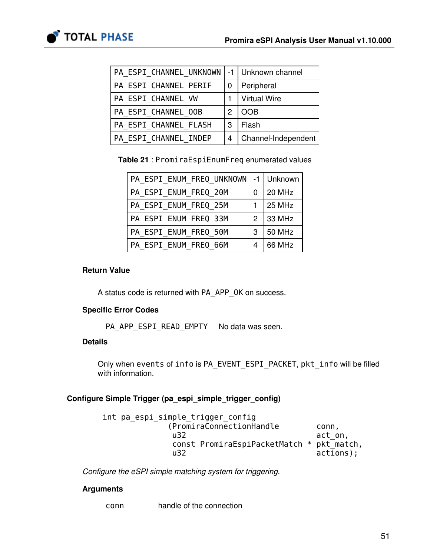

| PA ESPI CHANNEL UNKNOWN |                 | -1   Unknown channel |
|-------------------------|-----------------|----------------------|
| PA ESPI CHANNEL PERIF   | 0               | Peripheral           |
| PA ESPI CHANNEL VW      |                 | <b>Virtual Wire</b>  |
| PA ESPI CHANNEL OOB     | 2<br><b>OOB</b> |                      |
| PA ESPI CHANNEL FLASH   | 3               | Flash                |
| PA ESPI CHANNEL INDEP   | 4               | Channel-Independent  |

<span id="page-50-0"></span>Table 21 : PromiraEspiEnumFreq enumerated values

| PA ESPI ENUM FREQ UNKNOWN   -1   Unknown |                |               |
|------------------------------------------|----------------|---------------|
| PA ESPI ENUM FREQ 20M                    | 0              | 20 MHz        |
| PA ESPI ENUM FREQ 25M                    | 1              | 25 MHz        |
| PA ESPI ENUM FREQ 33M                    | $\overline{2}$ | 33 MHz        |
| PA ESPI ENUM FREQ 50M                    | 3              | <b>50 MHz</b> |
| PA ESPI ENUM FREQ 66M                    | 4              | 66 MHz        |

#### Return Value

A status code is returned with PA\_APP\_OK on success.

### Specific Error Codes

PA\_APP\_ESPI\_READ\_EMPTY No data was seen.

#### **Details**

Only when events of info is PA\_EVENT\_ESPI\_PACKET, pkt\_info will be filled with information.

### Configure Simple Trigger (pa\_espi\_simple\_trigger\_config)

| int pa espi simple trigger config         |              |
|-------------------------------------------|--------------|
| (PromiraConnectionHandle)                 | conn.        |
| u32                                       | act on,      |
| const PromiraEspiPacketMatch * pkt match, |              |
| u32                                       | $actions$ ); |

Configure the eSPI simple matching system for triggering.

### Arguments

conn handle of the connection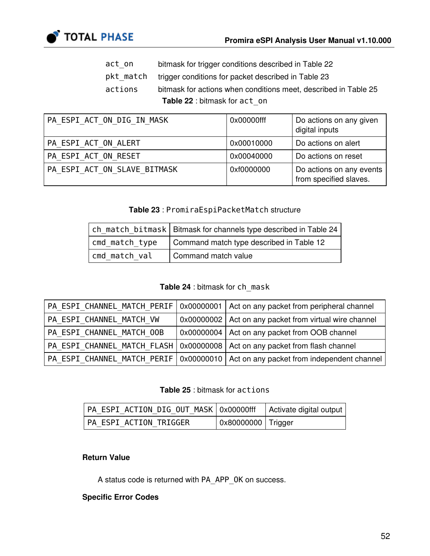

- act\_on bitmask for trigger conditions described in Table [22](#page-51-0)
- pkt\_match trigger conditions for packet described in Table [23](#page-51-1)
- actions bitmask for actions when conditions meet, described in Table [25](#page-51-2) Table 22 : bitmask for act\_on

<span id="page-51-0"></span>

| PA ESPI ACT ON DIG IN MASK   | 0x00000fff | Do actions on any given<br>digital inputs          |
|------------------------------|------------|----------------------------------------------------|
| PA ESPI ACT ON ALERT         | 0x00010000 | Do actions on alert                                |
| PA ESPI ACT ON RESET         | 0x00040000 | Do actions on reset                                |
| PA ESPI ACT ON SLAVE BITMASK | 0xf0000000 | Do actions on any events<br>from specified slaves. |

### Table 23 : PromiraEspiPacketMatch structure

<span id="page-51-1"></span>

|                | ch match bitmask   Bitmask for channels type described in Table 24 |
|----------------|--------------------------------------------------------------------|
| cmd match type | Command match type described in Table 12                           |
| cmd match val  | Command match value                                                |

#### Table 24 : bitmask for ch\_mask

<span id="page-51-3"></span>

|                           | PA ESPI CHANNEL MATCH PERIF   0x00000001   Act on any packet from peripheral channel  |
|---------------------------|---------------------------------------------------------------------------------------|
| PA ESPI CHANNEL MATCH VW  | 0x00000002   Act on any packet from virtual wire channel                              |
| PA ESPI CHANNEL MATCH OOB | 0x00000004   Act on any packet from OOB channel                                       |
|                           | PA ESPI CHANNEL MATCH FLASH   0x00000008   Act on any packet from flash channel       |
|                           | PA ESPI CHANNEL MATCH PERIF   0x00000010   Act on any packet from independent channel |

#### Table 25 : bitmask for actions

<span id="page-51-2"></span>

| PA ESPI ACTION DIG OUT MASK   0x00000fff   Activate digital output |                                    |  |
|--------------------------------------------------------------------|------------------------------------|--|
| PA ESPI ACTION TRIGGER                                             | $\vert$ 0x80000000 $\vert$ Trigger |  |

#### Return Value

A status code is returned with PA\_APP\_OK on success.

#### Specific Error Codes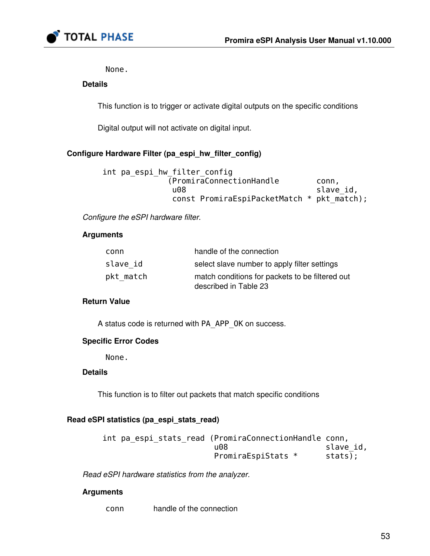

None.

#### Details

This function is to trigger or activate digital outputs on the specific conditions

Digital output will not activate on digital input.

### Configure Hardware Filter (pa\_espi\_hw\_filter\_config)

| int pa espi hw filter config               |           |
|--------------------------------------------|-----------|
| (PromiraConnectionHandle)                  | .conn     |
| u08                                        | slave id, |
| const PromiraEspiPacketMatch * pkt match); |           |

Configure the eSPI hardware filter.

#### Arguments

| conn      | handle of the connection                        |
|-----------|-------------------------------------------------|
| slave id  | select slave number to apply filter settings    |
| pkt match | match conditions for packets to be filtered out |
|           | described in Table 23                           |

#### Return Value

A status code is returned with PA\_APP\_OK on success.

#### Specific Error Codes

None.

#### **Details**

This function is to filter out packets that match specific conditions

#### Read eSPI statistics (pa\_espi\_stats\_read)

| int pa espi stats read (PromiraConnectionHandle conn, |           |
|-------------------------------------------------------|-----------|
| u08                                                   | slave id, |
| PromiraEspiStats *                                    | stats);   |

Read eSPI hardware statistics from the analyzer.

#### Arguments

conn handle of the connection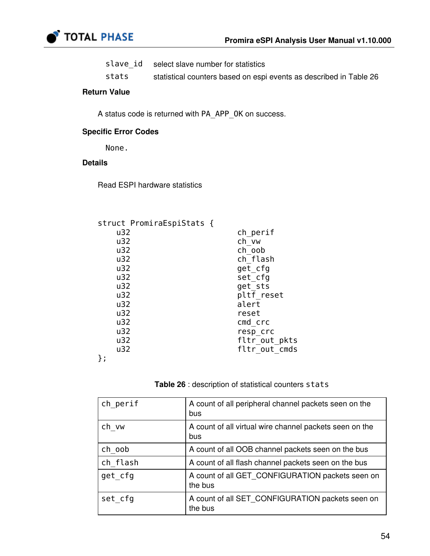

| slave id | select slave number for statistics |  |
|----------|------------------------------------|--|
|----------|------------------------------------|--|

stats statistical counters based on espi events as described in Table [26](#page-53-0)

#### Return Value

A status code is returned with PA\_APP\_OK on success.

#### Specific Error Codes

None.

### Details

Read ESPI hardware statistics

| struct PromiraEspiStats { |               |
|---------------------------|---------------|
| u32                       | ch_perif      |
| u32                       | ch vw         |
| u32                       | ch oob        |
| u32                       | ch flash      |
| u32                       | get cfg       |
| u32                       | set cfg       |
| u32                       | get sts       |
| u32                       | pltf reset    |
| u32                       | alert         |
| u32                       | reset         |
| u32                       | cmd crc       |
| u32                       | resp crc      |
| u32                       | fltr_out_pkts |
| u32                       | fltr out cmds |
| };                        |               |
|                           |               |



<span id="page-53-0"></span>

| ch perif | A count of all peripheral channel packets seen on the<br>bus   |
|----------|----------------------------------------------------------------|
| ch vw    | A count of all virtual wire channel packets seen on the<br>bus |
| ch oob   | A count of all OOB channel packets seen on the bus             |
| ch flash | A count of all flash channel packets seen on the bus           |
| get cfg  | A count of all GET CONFIGURATION packets seen on<br>the bus    |
| set_cfg  | A count of all SET CONFIGURATION packets seen on<br>the bus    |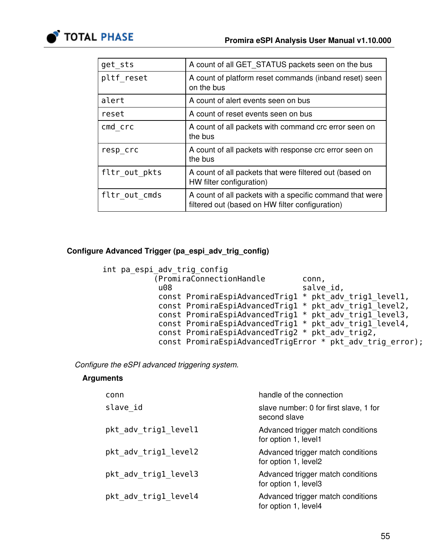

| get sts       | A count of all GET STATUS packets seen on the bus                                                           |
|---------------|-------------------------------------------------------------------------------------------------------------|
| pltf reset    | A count of platform reset commands (inband reset) seen<br>on the bus                                        |
| alert         | A count of alert events seen on bus                                                                         |
| reset         | A count of reset events seen on bus                                                                         |
| cmd crc       | A count of all packets with command crc error seen on<br>the bus                                            |
| resp crc      | A count of all packets with response crc error seen on<br>the bus                                           |
| fltr out pkts | A count of all packets that were filtered out (based on<br>HW filter configuration)                         |
| fltr out cmds | A count of all packets with a specific command that were<br>filtered out (based on HW filter configuration) |
|               |                                                                                                             |

#### Configure Advanced Trigger (pa\_espi\_adv\_trig\_config)

```
 int pa_espi_adv_trig_config
          (PromiraConnectionHandle conn,
          u08 salve_id,
           const PromiraEspiAdvancedTrig1 * pkt_adv_trig1_level1,
           const PromiraEspiAdvancedTrig1 * pkt_adv_trig1_level2,
           const PromiraEspiAdvancedTrig1 * pkt_adv_trig1_level3, 
           const PromiraEspiAdvancedTrig1 * pkt_adv_trig1_level4, 
          const PromiraEspiAdvancedTrig2 * pkt_adv_trig2,
          const PromiraEspiAdvancedTrigError * pkt_adv_trig_error);
```
Configure the eSPI advanced triggering system.

#### Arguments

| conn                 | handle of the connection                                  |
|----------------------|-----------------------------------------------------------|
| slave id             | slave number: 0 for first slave, 1 for<br>second slave    |
| pkt_adv_trig1_level1 | Advanced trigger match conditions<br>for option 1, level1 |
| pkt adv trig1 level2 | Advanced trigger match conditions<br>for option 1, level2 |
| pkt adv trigl level3 | Advanced trigger match conditions<br>for option 1, level3 |
| pkt adv trigl level4 | Advanced trigger match conditions<br>for option 1, level4 |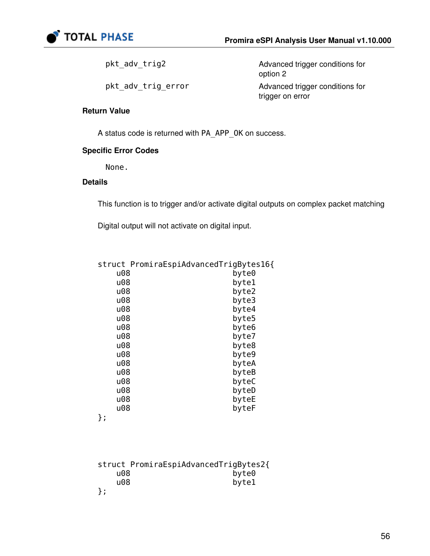

pkt\_adv\_trig2 Advanced trigger conditions for option 2 pkt\_adv\_trig\_error Advanced trigger conditions for trigger on error

#### Return Value

A status code is returned with PA\_APP\_OK on success.

#### Specific Error Codes

None.

#### Details

This function is to trigger and/or activate digital outputs on complex packet matching

Digital output will not activate on digital input.

|     | struct PromiraEspiAdvancedTrigBytes16{ |
|-----|----------------------------------------|
| u08 | byte0                                  |
| u08 | byte1                                  |
| u08 | byte2                                  |
| u08 | byte3                                  |
| u08 | byte4                                  |
| u08 | byte5                                  |
| u08 | byte6                                  |
| u08 | byte7                                  |
| u08 | byte8                                  |
| u08 | byte9                                  |
| u08 | byteA                                  |
| u08 | byteB                                  |
| u08 | byteC                                  |
| u08 | byteD                                  |
| u08 | byteE                                  |
| u08 | byteF                                  |
| . ר |                                        |

};

struct PromiraEspiAdvancedTrigBytes2{ u08 byte0<br>u08 byte1 byte1 };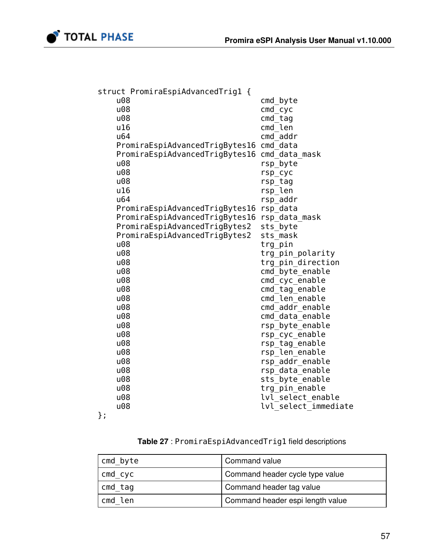

|    | struct PromiraEspiAdvancedTrig1 { |                      |
|----|-----------------------------------|----------------------|
|    | u08                               | cmd byte             |
|    | u08                               | $cmd_cyc$            |
|    | u08                               | $cmd$ $tag$          |
|    | u16                               | $cmd$ len            |
|    | u64                               | cmd addr             |
|    | PromiraEspiAdvancedTrigBytes16    | cmd data             |
|    | PromiraEspiAdvancedTrigBytes16    | cmd data mask        |
|    | u08                               | rsp_byte             |
|    | u08                               | rsp_cyc              |
|    | u08                               | rsp_tag              |
|    | u16                               | rsp_len              |
|    | u64                               | rsp_addr             |
|    | PromiraEspiAdvancedTrigBytes16    | rsp_data             |
|    | PromiraEspiAdvancedTrigBytes16    | rsp_data_mask        |
|    | PromiraEspiAdvancedTrigBytes2     | sts_byte             |
|    | PromiraEspiAdvancedTrigBytes2     | sts_mask             |
|    | u08                               | trg_pin              |
|    | u08                               | trg_pin_polarity     |
|    | u08                               | trg_pin_direction    |
|    | u08                               | cmd_byte_enable      |
|    | u08                               | cmd_cyc_enable       |
|    | u08                               | cmd_tag_enable       |
|    | u08                               | cmd len enable       |
|    | u08                               | cmd_addr_enable      |
|    | u08                               | cmd_data_enable      |
|    | u08                               | rsp byte enable      |
|    | u08                               | rsp_cyc_enable       |
|    | u08                               | rsp_tag_enable       |
|    | u08                               | rsp_len_enable       |
|    | u08                               | rsp addr enable      |
|    | u08                               | rsp data enable      |
|    | u08                               | sts_byte_enable      |
|    | u08                               | trg_pin_enable       |
|    | u08                               | lvl select enable    |
|    | u08                               | lvl select immediate |
| }; |                                   |                      |
|    |                                   |                      |

Table 27 : PromiraEspiAdvancedTrig1 field descriptions

| cmd byte | Command value                    |
|----------|----------------------------------|
| cmd_cyc  | Command header cycle type value  |
| cmd tag  | Command header tag value         |
| cmd len  | Command header espi length value |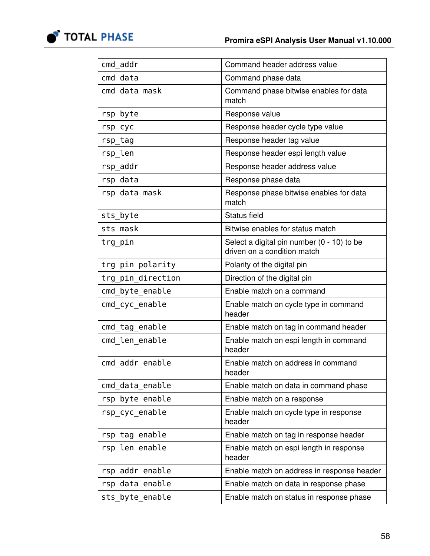

| cmd addr          | Command header address value                                                |
|-------------------|-----------------------------------------------------------------------------|
| cmd data          | Command phase data                                                          |
| cmd data mask     | Command phase bitwise enables for data<br>match                             |
| rsp byte          | Response value                                                              |
| rsp_cyc           | Response header cycle type value                                            |
| rsp_tag           | Response header tag value                                                   |
| rsp len           | Response header espi length value                                           |
| rsp addr          | Response header address value                                               |
| rsp data          | Response phase data                                                         |
| rsp data mask     | Response phase bitwise enables for data<br>match                            |
| sts_byte          | Status field                                                                |
| sts mask          | Bitwise enables for status match                                            |
| trg_pin           | Select a digital pin number $(0 - 10)$ to be<br>driven on a condition match |
| trg_pin_polarity  | Polarity of the digital pin                                                 |
| trg_pin_direction | Direction of the digital pin                                                |
| cmd_byte_enable   | Enable match on a command                                                   |
| cmd_cyc_enable    | Enable match on cycle type in command<br>header                             |
| cmd_tag_enable    | Enable match on tag in command header                                       |
| cmd_len_enable    | Enable match on espi length in command<br>header                            |
| cmd_addr_enable   | Enable match on address in command<br>header                                |
| cmd_data_enable   | Enable match on data in command phase                                       |
| rsp_byte_enable   | Enable match on a response                                                  |
| rsp cyc enable    | Enable match on cycle type in response<br>header                            |
| rsp_tag_enable    | Enable match on tag in response header                                      |
| rsp_len_enable    | Enable match on espi length in response<br>header                           |
| rsp_addr_enable   | Enable match on address in response header                                  |
| rsp data enable   | Enable match on data in response phase                                      |
| sts_byte_enable   | Enable match on status in response phase                                    |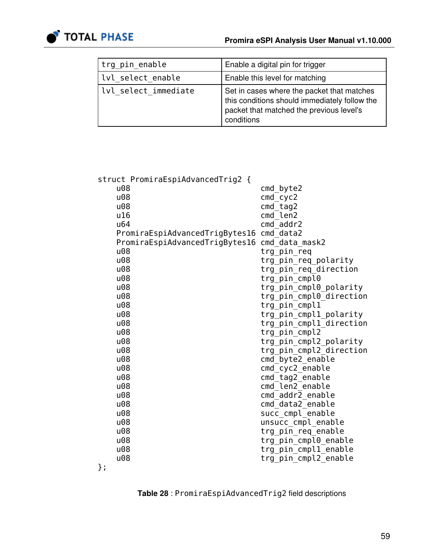

| trg pin enable       | Enable a digital pin for trigger                                                                                                                      |
|----------------------|-------------------------------------------------------------------------------------------------------------------------------------------------------|
| lvl select enable    | Enable this level for matching                                                                                                                        |
| lvl select immediate | Set in cases where the packet that matches<br>this conditions should immediately follow the<br>packet that matched the previous level's<br>conditions |

| struct PromiraEspiAdvancedTrig2 { |                         |
|-----------------------------------|-------------------------|
| u08                               | cmd byte2               |
| u08                               | cmd cyc2                |
| u08                               | $cmd$ $tag2$            |
| u16                               | cmd_len2                |
| u64                               | cmd addr2               |
| PromiraEspiAdvancedTrigBytes16    | cmd data2               |
| PromiraEspiAdvancedTrigBytes16    | cmd_data_mask2          |
| u <sub>08</sub>                   | trg_pin_req             |
| u08                               | trg_pin_req_polarity    |
| u08                               | trg_pin_req_direction   |
| u08                               | trg pin cmpl0           |
| u08                               | trg pin cmpl0 polarity  |
| u08                               | trg_pin_cmpl0_direction |
| u08                               | trg_pin_cmpl1           |
| u08                               | trg_pin_cmpl1_polarity  |
| u08                               | trg_pin_cmpl1_direction |
| u08                               | trg pin cmpl2           |
| u08                               | trg_pin_cmpl2_polarity  |
| u <sub>08</sub>                   | trg pin cmpl2 direction |
| u08                               | cmd_byte2_enable        |
| u08                               | cmd_cyc2_enable         |
| u08                               | cmd_tag2_enable         |
| u08                               | cmd len2 enable         |
| u08                               | cmd_addr2_enable        |
| u08                               | cmd_data2_enable        |
| u <sub>08</sub>                   | succ_cmpl_enable        |
| u08                               | unsucc cmpl enable      |
| u08                               | trg_pin_req_enable      |
| u08                               | trg_pin_cmpl0_enable    |
| u08                               | trg_pin_cmpl1_enable    |
| u <sub>08</sub>                   | trg pin cmpl2 enable    |
| };                                |                         |

Table 28 : PromiraEspiAdvancedTrig2 field descriptions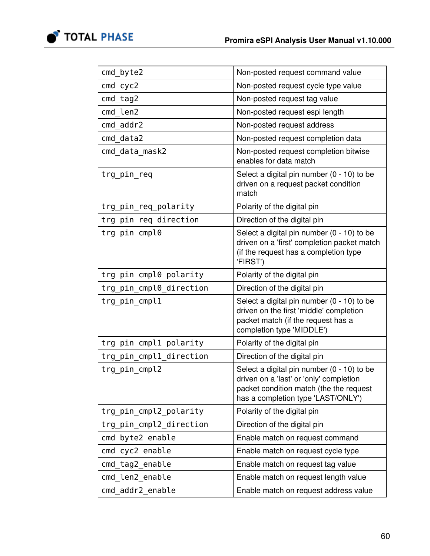

| cmd byte2               | Non-posted request command value                                                                                                                                       |
|-------------------------|------------------------------------------------------------------------------------------------------------------------------------------------------------------------|
| $cmd_cyc2$              | Non-posted request cycle type value                                                                                                                                    |
| cmd tag2                | Non-posted request tag value                                                                                                                                           |
| cmd len2                | Non-posted request espi length                                                                                                                                         |
| cmd addr2               | Non-posted request address                                                                                                                                             |
| cmd data2               | Non-posted request completion data                                                                                                                                     |
| cmd data mask2          | Non-posted request completion bitwise<br>enables for data match                                                                                                        |
| trg_pin_req             | Select a digital pin number (0 - 10) to be<br>driven on a request packet condition<br>match                                                                            |
| trg_pin_req_polarity    | Polarity of the digital pin                                                                                                                                            |
| trg_pin_req_direction   | Direction of the digital pin                                                                                                                                           |
| trg_pin_cmpl0           | Select a digital pin number (0 - 10) to be<br>driven on a 'first' completion packet match<br>(if the request has a completion type<br>'FIRST')                         |
| trg_pin_cmpl0_polarity  | Polarity of the digital pin                                                                                                                                            |
| trg_pin_cmpl0_direction | Direction of the digital pin                                                                                                                                           |
| trg_pin_cmpl1           | Select a digital pin number (0 - 10) to be<br>driven on the first 'middle' completion<br>packet match (if the request has a<br>completion type 'MIDDLE')               |
| trg_pin_cmpl1_polarity  | Polarity of the digital pin                                                                                                                                            |
| trg_pin_cmpl1_direction | Direction of the digital pin                                                                                                                                           |
| trg pin cmpl2           | Select a digital pin number (0 - 10) to be<br>driven on a 'last' or 'only' completion<br>packet condition match (the the request<br>has a completion type 'LAST/ONLY') |
| trg_pin_cmpl2_polarity  | Polarity of the digital pin                                                                                                                                            |
| trg_pin_cmpl2_direction | Direction of the digital pin                                                                                                                                           |
| cmd byte2 enable        | Enable match on request command                                                                                                                                        |
| cmd_cyc2_enable         | Enable match on request cycle type                                                                                                                                     |
| cmd tag2 enable         | Enable match on request tag value                                                                                                                                      |
| cmd len2 enable         | Enable match on request length value                                                                                                                                   |
| cmd addr2 enable        | Enable match on request address value                                                                                                                                  |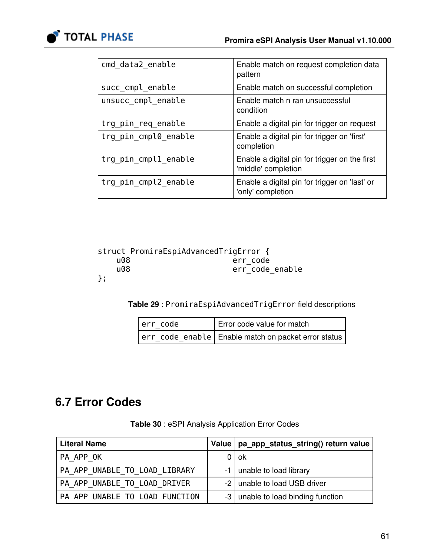

| cmd data2 enable     | Enable match on request completion data<br>pattern                   |
|----------------------|----------------------------------------------------------------------|
| succ cmpl enable     | Enable match on successful completion                                |
| unsucc cmpl enable   | Enable match n ran unsuccessful<br>condition                         |
| trg pin req enable   | Enable a digital pin for trigger on request                          |
| trg_pin_cmpl0_enable | Enable a digital pin for trigger on 'first'<br>completion            |
| trg pin_cmpl1_enable | Enable a digital pin for trigger on the first<br>'middle' completion |
| trg pin cmpl2 enable | Enable a digital pin for trigger on 'last' or<br>'only' completion   |

|     | struct PromiraEspiAdvancedTrigError { |
|-----|---------------------------------------|
| u08 | err code                              |
| u08 | err code enable                       |
| };  |                                       |

Table 29 : PromiraEspiAdvancedTrigError field descriptions

| err code | Error code value for match                              |
|----------|---------------------------------------------------------|
|          | err_code_enable   Enable match on packet error status ' |

# 6.7 Error Codes

<span id="page-60-0"></span>

| <b>Literal Name</b>            | Value   pa_app_status_string() return value |
|--------------------------------|---------------------------------------------|
| PA APP OK                      | $0$   ok                                    |
| PA APP UNABLE TO LOAD LIBRARY  | -1   unable to load library                 |
| PA APP UNABLE TO LOAD DRIVER   | -2 unable to load USB driver                |
| PA APP UNABLE TO LOAD FUNCTION | -3   unable to load binding function        |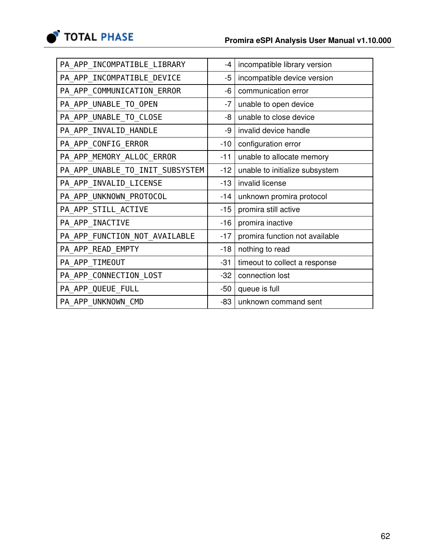

| PA_APP_INCOMPATIBLE_LIBRARY     | $-4$  | incompatible library version   |
|---------------------------------|-------|--------------------------------|
| PA APP INCOMPATIBLE DEVICE      | $-5$  | incompatible device version    |
| PA_APP_COMMUNICATION_ERROR      | -6    | communication error            |
| PA APP UNABLE TO OPEN           | $-7$  | unable to open device          |
| PA_APP_UNABLE_TO_CLOSE          | -8    | unable to close device         |
| PA_APP_INVALID_HANDLE           | -9    | invalid device handle          |
| PA_APP_CONFIG_ERROR             | $-10$ | configuration error            |
| PA_APP_MEMORY_ALLOC_ERROR       | $-11$ | unable to allocate memory      |
| PA_APP_UNABLE_TO_INIT_SUBSYSTEM | $-12$ | unable to initialize subsystem |
| PA_APP_INVALID_LICENSE          | $-13$ | invalid license                |
| PA_APP_UNKNOWN_PROTOCOL         | $-14$ | unknown promira protocol       |
| PA_APP_STILL_ACTIVE             | $-15$ | promira still active           |
| PA_APP_INACTIVE                 | $-16$ | promira inactive               |
| PA_APP_FUNCTION_NOT_AVAILABLE   | $-17$ | promira function not available |
| PA_APP_READ_EMPTY               | $-18$ | nothing to read                |
| PA_APP_TIMEOUT                  | $-31$ | timeout to collect a response  |
| PA_APP_CONNECTION_LOST          | $-32$ | connection lost                |
| PA_APP_QUEUE_FULL               | $-50$ | queue is full                  |
| PA APP UNKNOWN CMD              | -83   | unknown command sent           |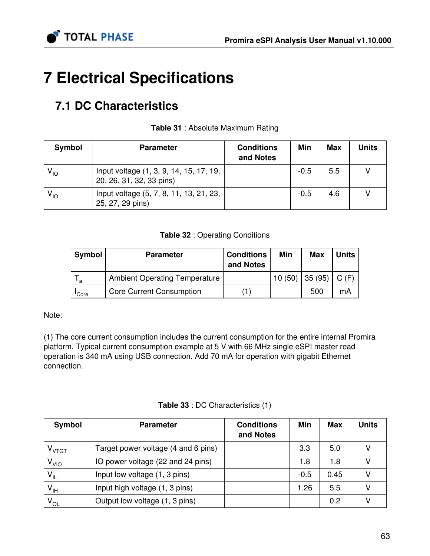

# 7 Electrical Specifications

# 7.1 DC Characteristics

| Symbol   | <b>Parameter</b>                                                    | <b>Conditions</b><br>and Notes | Min    | Max | Units |
|----------|---------------------------------------------------------------------|--------------------------------|--------|-----|-------|
| $V_{10}$ | Input voltage (1, 3, 9, 14, 15, 17, 19,<br>20, 26, 31, 32, 33 pins) |                                | $-0.5$ | 5.5 |       |
| $V_{10}$ | Input voltage (5, 7, 8, 11, 13, 21, 23,<br>25, 27, 29 pins)         |                                | $-0.5$ | 4.6 |       |

#### Table 31 : Absolute Maximum Rating

#### Table 32 : Operating Conditions

| <b>Symbol</b>     | <b>Parameter</b>                     | <b>Conditions</b><br>and Notes | Min    | <b>Max</b> | <b>Units</b> |
|-------------------|--------------------------------------|--------------------------------|--------|------------|--------------|
| a                 | <b>Ambient Operating Temperature</b> |                                | 10(50) | 35 (95)    | C(F)         |
| <sup>I</sup> Core | <b>Core Current Consumption</b>      |                                |        | 500        | mA           |

Note:

(1) The core current consumption includes the current consumption for the entire internal Promira platform. Typical current consumption example at 5 V with 66 MHz single eSPI master read operation is 340 mA using USB connection. Add 70 mA for operation with gigabit Ethernet connection.

|  | <b>Table 33</b> : DC Characteristics (1) |  |
|--|------------------------------------------|--|
|--|------------------------------------------|--|

| Symbol          | <b>Parameter</b>                    | <b>Conditions</b><br>and Notes | Min    | <b>Max</b> | <b>Units</b> |
|-----------------|-------------------------------------|--------------------------------|--------|------------|--------------|
| $V_{VTGT}$      | Target power voltage (4 and 6 pins) |                                | 3.3    | 5.0        |              |
| V <sub>VO</sub> | IO power voltage (22 and 24 pins)   |                                | 1.8    | 1.8        |              |
| $V_{IL}$        | Input low voltage (1, 3 pins)       |                                | $-0.5$ | 0.45       |              |
| $V_{\vert H}$   | Input high voltage (1, 3 pins)      |                                | 1.26   | 5.5        |              |
| $V_{OL}$        | Output low voltage (1, 3 pins)      |                                |        | 0.2        |              |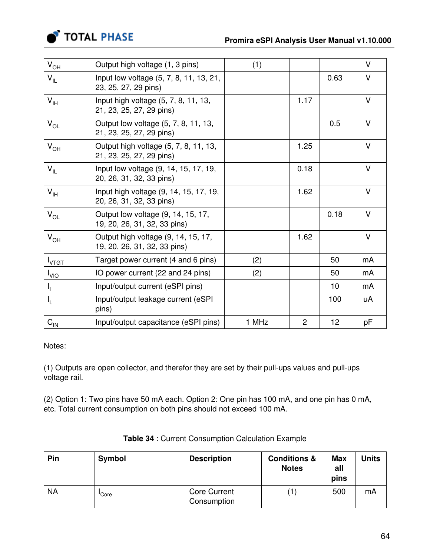

| $V_{O\underline{H}}$            | Output high voltage (1, 3 pins)                                     | (1)   |                |      | $\vee$ |
|---------------------------------|---------------------------------------------------------------------|-------|----------------|------|--------|
| $V_{IL}$                        | Input low voltage (5, 7, 8, 11, 13, 21,<br>23, 25, 27, 29 pins)     |       |                | 0.63 | $\vee$ |
| $V_{IH}$                        | Input high voltage (5, 7, 8, 11, 13,<br>21, 23, 25, 27, 29 pins)    |       | 1.17           |      | $\vee$ |
| $V_{OL}$                        | Output low voltage (5, 7, 8, 11, 13,<br>21, 23, 25, 27, 29 pins)    |       |                | 0.5  | $\vee$ |
| $V_{OH}$                        | Output high voltage (5, 7, 8, 11, 13,<br>21, 23, 25, 27, 29 pins)   |       | 1.25           |      | $\vee$ |
| $V_{IL}$                        | Input low voltage (9, 14, 15, 17, 19,<br>20, 26, 31, 32, 33 pins)   |       | 0.18           |      | $\vee$ |
| $V_{\text{IH}}$                 | Input high voltage (9, 14, 15, 17, 19,<br>20, 26, 31, 32, 33 pins)  |       | 1.62           |      | $\vee$ |
| $V_{OL}$                        | Output low voltage (9, 14, 15, 17,<br>19, 20, 26, 31, 32, 33 pins)  |       |                | 0.18 | $\vee$ |
| $V_{OH}$                        | Output high voltage (9, 14, 15, 17,<br>19, 20, 26, 31, 32, 33 pins) |       | 1.62           |      | $\vee$ |
| $I_{VTG\underline{\mathsf{T}}}$ | Target power current (4 and 6 pins)                                 | (2)   |                | 50   | mA     |
| $I_{VIO}$                       | IO power current (22 and 24 pins)                                   | (2)   |                | 50   | mA     |
| $\mathsf{I}_{\mathsf{I}}$       | Input/output current (eSPI pins)                                    |       |                | 10   | mA     |
| $I_{L}$                         | Input/output leakage current (eSPI<br>pins)                         |       |                | 100  | uA     |
| $C_{\text{IN}}$                 | Input/output capacitance (eSPI pins)                                | 1 MHz | $\overline{2}$ | 12   | pF     |

Notes:

(1) Outputs are open collector, and therefor they are set by their pull-ups values and pull-ups voltage rail.

(2) Option 1: Two pins have 50 mA each. Option 2: One pin has 100 mA, and one pin has 0 mA, etc. Total current consumption on both pins should not exceed 100 mA.

| Pin       | Symbol | <b>Description</b>                 | <b>Conditions &amp;</b><br><b>Notes</b> | <b>Max</b><br>all<br>pins | Units |
|-----------|--------|------------------------------------|-----------------------------------------|---------------------------|-------|
| <b>NA</b> | 'Core  | <b>Core Current</b><br>Consumption | 1,                                      | 500                       | mA    |

Table 34 : Current Consumption Calculation Example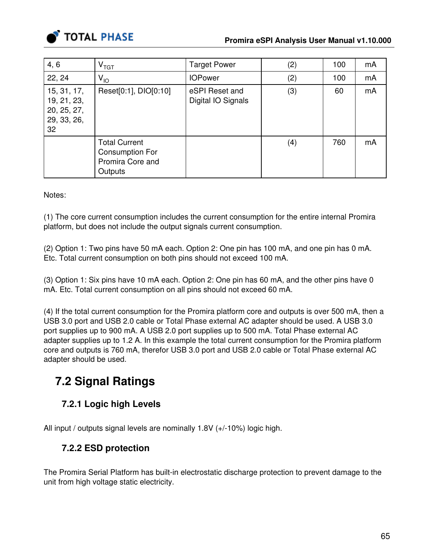

| 4, 6                                                           | $\bm{{\mathsf{V}}}_{\textsf{TGT}}$                                            | <b>Target Power</b>                  | (2) | 100 | mA |
|----------------------------------------------------------------|-------------------------------------------------------------------------------|--------------------------------------|-----|-----|----|
| 22, 24                                                         | $V_{10}$                                                                      | <b>IOPower</b>                       | (2) | 100 | mA |
| 15, 31, 17,<br>19, 21, 23,<br>20, 25, 27,<br>29, 33, 26,<br>32 | Reset[0:1], DIO[0:10]                                                         | eSPI Reset and<br>Digital IO Signals | (3) | 60  | mA |
|                                                                | <b>Total Current</b><br><b>Consumption For</b><br>Promira Core and<br>Outputs |                                      | (4) | 760 | mA |

Notes:

(1) The core current consumption includes the current consumption for the entire internal Promira platform, but does not include the output signals current consumption.

(2) Option 1: Two pins have 50 mA each. Option 2: One pin has 100 mA, and one pin has 0 mA. Etc. Total current consumption on both pins should not exceed 100 mA.

(3) Option 1: Six pins have 10 mA each. Option 2: One pin has 60 mA, and the other pins have 0 mA. Etc. Total current consumption on all pins should not exceed 60 mA.

(4) If the total current consumption for the Promira platform core and outputs is over 500 mA, then a USB 3.0 port and USB 2.0 cable or Total Phase external AC adapter should be used. A USB 3.0 port supplies up to 900 mA. A USB 2.0 port supplies up to 500 mA. Total Phase external AC adapter supplies up to 1.2 A. In this example the total current consumption for the Promira platform core and outputs is 760 mA, therefor USB 3.0 port and USB 2.0 cable or Total Phase external AC adapter should be used.

# 7.2 Signal Ratings

## 7.2.1 Logic high Levels

All input / outputs signal levels are nominally 1.8V (+/-10%) logic high.

## 7.2.2 ESD protection

The Promira Serial Platform has built-in electrostatic discharge protection to prevent damage to the unit from high voltage static electricity.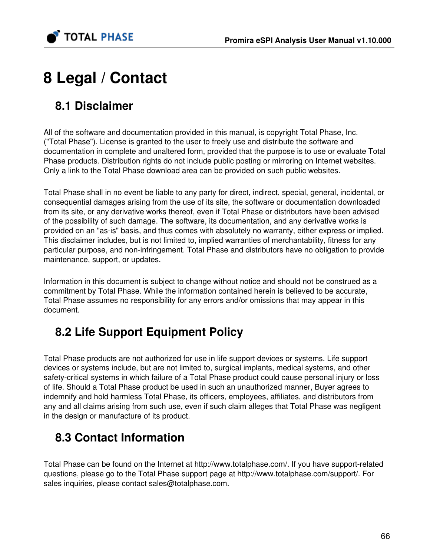

# 8 Legal / Contact

# 8.1 Disclaimer

All of the software and documentation provided in this manual, is copyright Total Phase, Inc. ("Total Phase"). License is granted to the user to freely use and distribute the software and documentation in complete and unaltered form, provided that the purpose is to use or evaluate Total Phase products. Distribution rights do not include public posting or mirroring on Internet websites. Only a link to the Total Phase download area can be provided on such public websites.

Total Phase shall in no event be liable to any party for direct, indirect, special, general, incidental, or consequential damages arising from the use of its site, the software or documentation downloaded from its site, or any derivative works thereof, even if Total Phase or distributors have been advised of the possibility of such damage. The software, its documentation, and any derivative works is provided on an "as-is" basis, and thus comes with absolutely no warranty, either express or implied. This disclaimer includes, but is not limited to, implied warranties of merchantability, fitness for any particular purpose, and non-infringement. Total Phase and distributors have no obligation to provide maintenance, support, or updates.

Information in this document is subject to change without notice and should not be construed as a commitment by Total Phase. While the information contained herein is believed to be accurate, Total Phase assumes no responsibility for any errors and/or omissions that may appear in this document.

# 8.2 Life Support Equipment Policy

Total Phase products are not authorized for use in life support devices or systems. Life support devices or systems include, but are not limited to, surgical implants, medical systems, and other safety-critical systems in which failure of a Total Phase product could cause personal injury or loss of life. Should a Total Phase product be used in such an unauthorized manner, Buyer agrees to indemnify and hold harmless Total Phase, its officers, employees, affiliates, and distributors from any and all claims arising from such use, even if such claim alleges that Total Phase was negligent in the design or manufacture of its product.

# 8.3 Contact Information

Total Phase can be found on the Internet at <http://www.totalphase.com/>. If you have support-related questions, please go to the Total Phase support page at<http://www.totalphase.com/support/>. For sales inquiries, please contact [sales@totalphase.com.](mailto:sales@totalphase.com)